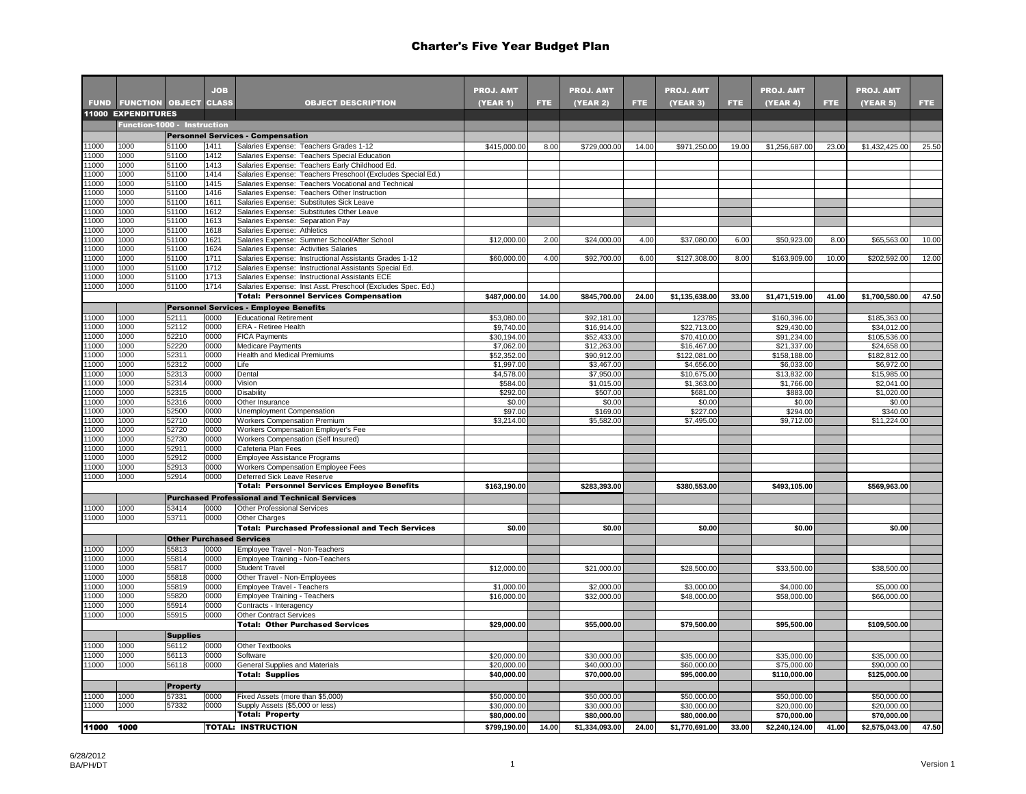|              |                              |                 | <b>JOB</b>   |                                                                                                                    | <b>PROJ. AMT</b>           |            | <b>PROJ. AMT</b>           |            | <b>PROJ. AMT</b>           |       | <b>PROJ. AMT</b>           |       | <b>PROJ. AMT</b>            |       |
|--------------|------------------------------|-----------------|--------------|--------------------------------------------------------------------------------------------------------------------|----------------------------|------------|----------------------------|------------|----------------------------|-------|----------------------------|-------|-----------------------------|-------|
| <b>FUND</b>  | <b>FUNCTION OBJECT CLASS</b> |                 |              | <b>OBJECT DESCRIPTION</b>                                                                                          | (YEAR 1)                   | <b>FTE</b> | (YEAR 2)                   | <b>FTE</b> | <b>(YEAR 3)</b>            | FTE.  | (YEAR 4)                   | FTE.  | (YEAR 5)                    | FTE.  |
|              | <b>11000 EXPENDITURES</b>    |                 |              |                                                                                                                    |                            |            |                            |            |                            |       |                            |       |                             |       |
|              | Function-1000 - Instruction  |                 |              |                                                                                                                    |                            |            |                            |            |                            |       |                            |       |                             |       |
|              |                              |                 |              | <b>Personnel Services - Compensation</b>                                                                           |                            |            |                            |            |                            |       |                            |       |                             |       |
| 1000         | 1000                         | 51100           | 1411         | Salaries Expense: Teachers Grades 1-12                                                                             | \$415,000.00               | 8.00       | \$729,000.00               | 14.00      | \$971,250.00               | 19.00 | \$1,256,687.00             | 23.00 | \$1,432,425.00              | 25.50 |
| 1000         | 1000                         | 51100           | 1412         | Salaries Expense: Teachers Special Education                                                                       |                            |            |                            |            |                            |       |                            |       |                             |       |
| 1000         | 1000                         | 51100           | 1413         | Salaries Expense: Teachers Early Childhood Ed.                                                                     |                            |            |                            |            |                            |       |                            |       |                             |       |
| 1000<br>1000 | 1000<br>1000                 | 51100<br>51100  | 1414<br>1415 | Salaries Expense: Teachers Preschool (Excludes Special Ed.)<br>Salaries Expense: Teachers Vocational and Technical |                            |            |                            |            |                            |       |                            |       |                             |       |
| 1000         | 1000                         | 51100           | 1416         | Salaries Expense: Teachers Other Instruction                                                                       |                            |            |                            |            |                            |       |                            |       |                             |       |
| 1000         | 1000                         | 51100           | 1611         | Salaries Expense: Substitutes Sick Leave                                                                           |                            |            |                            |            |                            |       |                            |       |                             |       |
| 1000         | 1000                         | 51100           | 1612         | Salaries Expense: Substitutes Other Leave                                                                          |                            |            |                            |            |                            |       |                            |       |                             |       |
| 1000         | 1000                         | 51100           | 1613         | Salaries Expense: Separation Pay                                                                                   |                            |            |                            |            |                            |       |                            |       |                             |       |
| 1000         | 1000                         | 51100           | 1618         | Salaries Expense: Athletics                                                                                        |                            |            |                            |            |                            |       |                            |       |                             |       |
| 1000<br>1000 | 1000<br>1000                 | 51100<br>51100  | 1621<br>1624 | Salaries Expense: Summer School/After School<br>Salaries Expense: Activities Salaries                              | \$12,000.00                | 2.00       | \$24,000.00                | 4.00       | \$37,080.00                | 6.00  | \$50,923.00                | 8.00  | \$65,563.00                 | 10.00 |
| 1000         | 1000                         | 51100           | 1711         | Salaries Expense: Instructional Assistants Grades 1-12                                                             | \$60,000.00                | 4.00       | \$92,700.00                | 6.00       | \$127,308.00               | 8.00  | \$163,909.00               | 10.00 | \$202,592.00                | 12.00 |
| 1000         | 1000                         | 51100           | 1712         | Salaries Expense: Instructional Assistants Special Ed.                                                             |                            |            |                            |            |                            |       |                            |       |                             |       |
| 1000         | 1000                         | 51100           | 1713         | Salaries Expense: Instructional Assistants ECE                                                                     |                            |            |                            |            |                            |       |                            |       |                             |       |
| 1000         | 1000                         | 51100           | 1714         | Salaries Expense: Inst Asst. Preschool (Excludes Spec. Ed.)                                                        |                            |            |                            |            |                            |       |                            |       |                             |       |
|              |                              |                 |              | <b>Total: Personnel Services Compensation</b>                                                                      | \$487,000.00               | 14.00      | \$845,700.00               | 24.00      | \$1,135,638.00             | 33.00 | \$1,471,519.00             | 41.00 | \$1,700,580.00              | 47.50 |
|              |                              |                 |              | <b>Personnel Services - Employee Benefits</b>                                                                      |                            |            |                            |            |                            |       |                            |       |                             |       |
| 1000         | 1000                         | 52111           | 0000         | <b>Educational Retirement</b>                                                                                      | \$53,080.00                |            | \$92,181.00                |            | 123785                     |       | \$160,396.00               |       | \$185,363.00                |       |
| 1000<br>1000 | 1000<br>1000                 | 52112<br>52210  | 0000<br>0000 | ERA - Retiree Health                                                                                               | \$9,740.00<br>\$30,194.00  |            | \$16,914.00<br>\$52,433.00 |            | \$22,713.00                |       | \$29,430.00<br>\$91,234.00 |       | \$34,012.00<br>\$105,536.00 |       |
| 1000         | 1000                         | 2220            | 0000         | <b>FICA Payments</b><br><b>Medicare Payments</b>                                                                   | \$7,062.00                 |            | \$12,263.00                |            | \$70,410.00<br>\$16,467.00 |       | \$21,337.00                |       | \$24,658.00                 |       |
| 1000         | 1000                         | 52311           | 0000         | <b>Health and Medical Premiums</b>                                                                                 | \$52,352.00                |            | \$90,912.00                |            | \$122,081.00               |       | \$158,188.00               |       | \$182,812.00                |       |
| 1000         | 1000                         | 52312           | 0000         | Life                                                                                                               | \$1,997.00                 |            | \$3,467.00                 |            | \$4,656.00                 |       | \$6,033.00                 |       | \$6,972.00                  |       |
| 1000         | 1000                         | 52313           | 0000         | Dental                                                                                                             | \$4,578.00                 |            | \$7,950.00                 |            | \$10,675.00                |       | \$13,832.00                |       | \$15,985.00                 |       |
| 1000         | 1000                         | 52314           | 0000         | Vision                                                                                                             | \$584.00                   |            | \$1,015.00                 |            | \$1,363.00                 |       | \$1,766.00                 |       | \$2,041.00                  |       |
| 1000         | 1000                         | 52315           | 0000         | <b>Disability</b>                                                                                                  | \$292.00                   |            | \$507.00                   |            | \$681.00                   |       | \$883.00                   |       | \$1,020.00                  |       |
| 1000<br>1000 | 1000<br>1000                 | 52316<br>52500  | 0000<br>0000 | Other Insurance<br>Unemployment Compensation                                                                       | \$0.00<br>\$97.00          |            | \$0.00<br>\$169.00         |            | \$0.00<br>\$227.00         |       | \$0.00<br>\$294.00         |       | \$0.00<br>\$340.00          |       |
| 1000         | 1000                         | 52710           | 0000         | <b>Workers Compensation Premium</b>                                                                                | \$3,214.00                 |            | \$5,582.00                 |            | \$7,495.00                 |       | \$9,712.00                 |       | \$11,224.00                 |       |
| 1000         | 1000                         | 52720           | 0000         | Workers Compensation Employer's Fee                                                                                |                            |            |                            |            |                            |       |                            |       |                             |       |
| 1000         | 1000                         | 52730           | 0000         | Workers Compensation (Self Insured)                                                                                |                            |            |                            |            |                            |       |                            |       |                             |       |
| 1000         | 1000                         | 52911           | 0000         | Cafeteria Plan Fees                                                                                                |                            |            |                            |            |                            |       |                            |       |                             |       |
| 1000         | 1000                         | 52912           | 0000         | Employee Assistance Programs                                                                                       |                            |            |                            |            |                            |       |                            |       |                             |       |
| 1000<br>1000 | 1000<br>1000                 | 52913<br>52914  | 0000<br>0000 | Workers Compensation Employee Fees                                                                                 |                            |            |                            |            |                            |       |                            |       |                             |       |
|              |                              |                 |              | Deferred Sick Leave Reserve<br><b>Total: Personnel Services Employee Benefits</b>                                  | \$163,190.00               |            | \$283,393.00               |            | \$380,553.00               |       | \$493,105.00               |       | \$569,963.00                |       |
|              |                              |                 |              |                                                                                                                    |                            |            |                            |            |                            |       |                            |       |                             |       |
| 1000         | 1000                         | 53414           | 0000         | <b>Purchased Professional and Technical Services</b><br>Other Professional Services                                |                            |            |                            |            |                            |       |                            |       |                             |       |
| 1000         | 1000                         | 53711           | 0000         | Other Charges                                                                                                      |                            |            |                            |            |                            |       |                            |       |                             |       |
|              |                              |                 |              | Total: Purchased Professional and Tech Services                                                                    | \$0.00                     |            | \$0.00                     |            | \$0.00                     |       | \$0.00                     |       | \$0.00                      |       |
|              |                              |                 |              | <b>Other Purchased Services</b>                                                                                    |                            |            |                            |            |                            |       |                            |       |                             |       |
| 1000         | 1000                         | 55813           | 0000         | Employee Travel - Non-Teachers                                                                                     |                            |            |                            |            |                            |       |                            |       |                             |       |
| 1000         | 1000                         | 55814           | 0000         | Employee Training - Non-Teachers                                                                                   |                            |            |                            |            |                            |       |                            |       |                             |       |
| 1000         | 1000                         | 55817           | 0000         | <b>Student Travel</b>                                                                                              | \$12,000.00                |            | \$21,000.00                |            | \$28,500.00                |       | \$33,500.00                |       | \$38,500.00                 |       |
| 1000<br>1000 | 1000<br>1000                 | 55818           | 0000         | Other Travel - Non-Employees                                                                                       |                            |            |                            |            |                            |       |                            |       |                             |       |
| 1000         | 1000                         | 55819<br>55820  | 0000<br>0000 | Employee Travel - Teachers<br>Employee Training - Teachers                                                         | \$1,000.00<br>\$16,000.00  |            | \$2,000.00<br>\$32,000.00  |            | \$3,000.00<br>\$48,000.00  |       | \$4,000.00<br>\$58,000.00  |       | \$5,000.00<br>\$66,000.00   |       |
| 1000         | 1000                         | 55914           | 0000         | Contracts - Interagency                                                                                            |                            |            |                            |            |                            |       |                            |       |                             |       |
| 1000         | 1000                         | 55915           | 0000         | Other Contract Services                                                                                            |                            |            |                            |            |                            |       |                            |       |                             |       |
|              |                              |                 |              | <b>Total: Other Purchased Services</b>                                                                             | \$29,000.00                |            | \$55,000.00                |            | \$79,500.00                |       | \$95,500.00                |       | \$109,500.00                |       |
|              |                              | <b>Supplies</b> |              |                                                                                                                    |                            |            |                            |            |                            |       |                            |       |                             |       |
| 1000         | 1000                         | 56112           | 0000         | Other Textbooks                                                                                                    |                            |            |                            |            |                            |       |                            |       |                             |       |
| 1000         | 1000                         | 56113           | 0000         | Software                                                                                                           | \$20,000.00                |            | \$30,000.00                |            | \$35,000.00                |       | \$35,000.00                |       | \$35,000.00                 |       |
| 1000         | 1000                         | 56118           | 0000         | General Supplies and Materials                                                                                     | \$20,000.00                |            | \$40,000.00                |            | \$60,000.00                |       | \$75,000.00                |       | \$90,000.00                 |       |
|              |                              |                 |              | <b>Total: Supplies</b>                                                                                             | \$40,000.00                |            | \$70,000.00                |            | \$95,000.00                |       | \$110,000.00               |       | \$125,000.00                |       |
|              |                              | <b>Property</b> |              |                                                                                                                    |                            |            |                            |            |                            |       |                            |       |                             |       |
| 1000         | 1000                         | 57331           | 0000         | Fixed Assets (more than \$5,000)                                                                                   | \$50,000.00                |            | \$50,000.00                |            | \$50,000.00                |       | \$50,000.00                |       | \$50,000.00                 |       |
| 1000         | 1000                         | 57332           | 0000         | Supply Assets (\$5,000 or less)<br>Total: Property                                                                 | \$30,000.00<br>\$80,000.00 |            | \$30,000.00<br>\$80,000.00 |            | \$30,000.00<br>\$80,000.00 |       | \$20,000.00<br>\$70,000.00 |       | \$20,000.00<br>\$70,000.00  |       |
|              |                              |                 |              |                                                                                                                    |                            |            |                            |            |                            |       |                            |       |                             |       |
| 11000 1000   |                              |                 |              | <b>TOTAL: INSTRUCTION</b>                                                                                          | \$799,190.00               | 14.00      | \$1,334,093.00             | 24.00      | \$1,770,691.00             | 33.00 | \$2,240,124.00             | 41.00 | \$2,575,043.00              | 47.50 |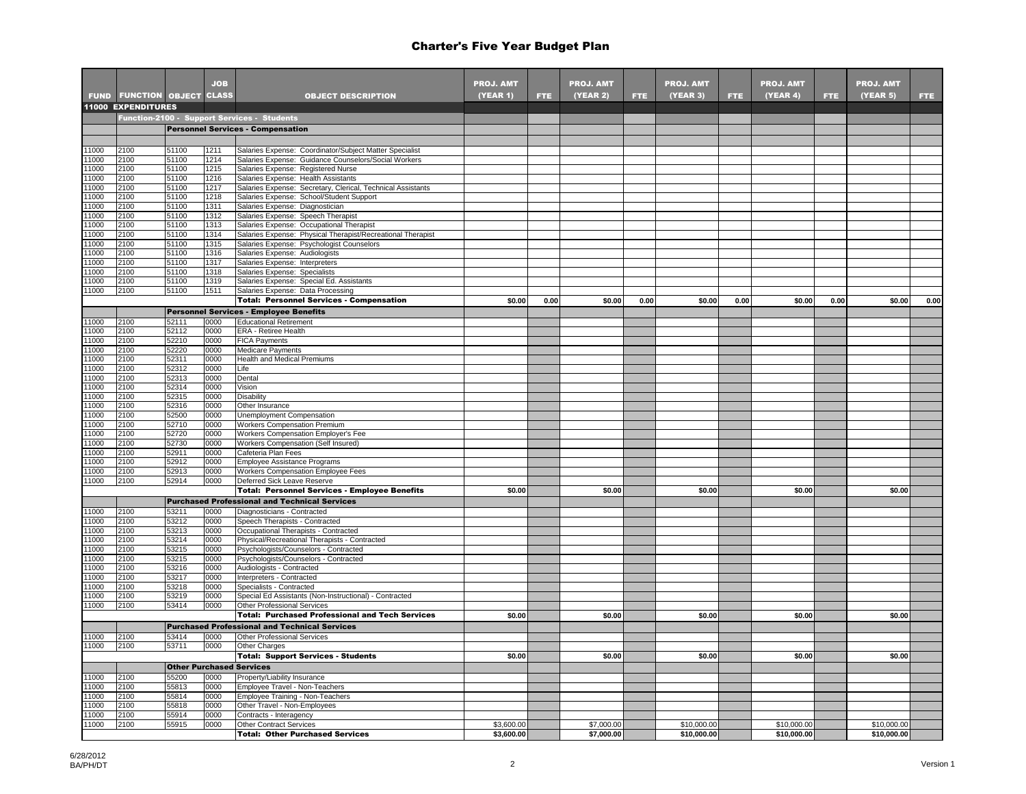| <b>FUND FUNCTION OBJECT CLASS</b><br><b>OBJECT DESCRIPTION</b><br>(YEAR 5)<br><b>(YEAR 1)</b><br>FTE.<br><b>(YEAR 2)</b><br>(YEAR 3)<br>FTE.<br>(YEAR 4)<br>FTE.<br>FTE.<br>FTE.<br>11000 EXPENDITURES<br>Function-2100 - Support Services - Students<br><b>Personnel Services - Compensation</b><br>1000<br>2100<br>51100<br>1211<br>Salaries Expense: Coordinator/Subject Matter Specialist<br>1000<br>51100<br>1214<br>Salaries Expense: Guidance Counselors/Social Workers<br>2100<br>Salaries Expense: Registered Nurse<br>1000<br>2100<br>51100<br>1215<br>1000<br>2100<br>51100<br>1216<br>Salaries Expense: Health Assistants<br>1000<br>2100<br>51100<br>1217<br>Salaries Expense: Secretary, Clerical, Technical Assistants<br>1000<br>2100<br>51100<br>1218<br>Salaries Expense: School/Student Support<br>1000<br>2100<br>51100<br>1311<br>Salaries Expense: Diagnostician<br>1000<br>2100<br>51100<br>Salaries Expense: Speech Therapist<br>1312<br>1000<br>2100<br>51100<br>1313<br>Salaries Expense: Occupational Therapist<br>1000<br>2100<br>51100<br>1314<br>Salaries Expense: Physical Therapist/Recreational Therapist<br>1000<br>51100<br>2100<br>1315<br>Salaries Expense: Psychologist Counselors<br>1000<br>2100<br>51100<br>1316<br>Salaries Expense: Audiologists<br>1000<br>2100<br>51100<br>1317<br>Salaries Expense: Interpreters<br>1000<br>2100<br>51100<br>1318<br>Salaries Expense: Specialists<br>1000<br>2100<br>51100<br>1319<br>Salaries Expense: Special Ed. Assistants<br>1000<br>2100<br>51100<br>1511<br>Salaries Expense: Data Processing<br>0.00<br><b>Total: Personnel Services - Compensation</b><br>\$0.00<br>0.00<br>\$0.00<br>0.00<br>\$0.00<br>0.00<br>\$0.00<br>0.00<br>\$0.00<br><b>Personnel Services - Employee Benefits</b><br>1000<br>2100<br>52111<br>0000<br><b>Educational Retirement</b><br>1000<br>2100<br>52112<br>0000<br>ERA - Retiree Health<br>0000<br>1000<br>2100<br>52210<br><b>FICA Payments</b><br>1000<br>2100<br>52220<br>0000<br>Medicare Payments<br>1000<br>2100<br>52311<br><b>Health and Medical Premiums</b><br>0000<br>1000<br>2100<br>52312<br>0000<br>Life<br>1000<br>2100<br>0000<br>52313<br>Dental<br>1000<br>2100<br>52314<br>0000<br>Vision<br>1000<br>2100<br>52315<br>0000<br>Disability<br>1000<br>2100<br>52316<br>0000<br>Other Insurance<br>1000<br>2100<br>52500<br>0000<br>Unemployment Compensation<br>1000<br>2100<br>52710<br>0000<br><b>Workers Compensation Premium</b><br>1000<br>2100<br>52720<br>0000<br>Workers Compensation Employer's Fee<br>1000<br>Workers Compensation (Self Insured)<br>2100<br>52730<br>0000<br>1000<br>2100<br>52911<br>0000<br>Cafeteria Plan Fees<br>1000<br>52912<br>Employee Assistance Programs<br>2100<br>0000<br>1000<br>2100<br>52913<br>0000<br>Workers Compensation Employee Fees<br>1000<br>2100<br>52914<br>0000<br>Deferred Sick Leave Reserve<br>\$0.00<br>\$0.00<br>\$0.00<br>\$0.00<br><b>Total: Personnel Services - Employee Benefits</b><br>\$0.00<br><b>Purchased Professional and Technical Services</b><br>1000<br>53211<br>Diagnosticians - Contracted<br>2100<br>0000<br>1000<br>2100<br>53212<br>0000<br>Speech Therapists - Contracted<br>1000<br>2100<br>53213<br>0000<br>Occupational Therapists - Contracted<br>1000<br>2100<br>53214<br>0000<br>Physical/Recreational Therapists - Contracted<br>1000<br>2100<br>53215<br>0000<br>Psychologists/Counselors - Contracted<br>1000<br>2100<br>53215<br>0000<br>Psychologists/Counselors - Contracted<br>1000<br>2100<br>53216<br>0000<br>Audiologists - Contracted<br>1000<br>53217<br>2100<br>0000<br>Interpreters - Contracted<br>1000<br>53218<br>0000<br>2100<br>Specialists - Contracted<br>1000<br>2100<br>53219<br>0000<br>Special Ed Assistants (Non-Instructional) - Contracted<br>53414<br>1000<br>2100<br>0000<br><b>Other Professional Services</b><br><b>Total: Purchased Professional and Tech Services</b><br>\$0.00<br>\$0.00<br>\$0.00<br>\$0.00<br>\$0.00<br><b>Purchased Professional and Technical Services</b><br>1000<br>2100<br>53414<br>0000<br><b>Other Professional Services</b><br>2100<br>1000<br>53711<br>0000<br>Other Charges<br><b>Total: Support Services - Students</b><br>\$0.00<br>\$0.00<br>\$0.00<br>\$0.00<br>\$0.00<br><b>Other Purchased Services</b><br>Property/Liability Insurance<br>1000<br>2100<br>55200<br>0000<br>1000<br>2100<br>55813<br>0000<br>Employee Travel - Non-Teachers<br>1000<br>2100<br>55814<br>0000<br>Employee Training - Non-Teachers<br>1000<br>2100<br>55818<br>0000<br>Other Travel - Non-Employees<br>1000<br>2100<br>55914<br>0000<br>Contracts - Interagency<br>1000<br>55915<br><b>Other Contract Services</b><br>\$3,600.00<br>\$7,000.00<br>\$10,000.00<br>\$10,000.00<br>\$10,000,00<br>2100<br>0000<br>\$3,600.00<br>\$10,000.00<br>\$10,000.00 |  |            |                                        |                  |                  |                  |                  |                  |  |
|----------------------------------------------------------------------------------------------------------------------------------------------------------------------------------------------------------------------------------------------------------------------------------------------------------------------------------------------------------------------------------------------------------------------------------------------------------------------------------------------------------------------------------------------------------------------------------------------------------------------------------------------------------------------------------------------------------------------------------------------------------------------------------------------------------------------------------------------------------------------------------------------------------------------------------------------------------------------------------------------------------------------------------------------------------------------------------------------------------------------------------------------------------------------------------------------------------------------------------------------------------------------------------------------------------------------------------------------------------------------------------------------------------------------------------------------------------------------------------------------------------------------------------------------------------------------------------------------------------------------------------------------------------------------------------------------------------------------------------------------------------------------------------------------------------------------------------------------------------------------------------------------------------------------------------------------------------------------------------------------------------------------------------------------------------------------------------------------------------------------------------------------------------------------------------------------------------------------------------------------------------------------------------------------------------------------------------------------------------------------------------------------------------------------------------------------------------------------------------------------------------------------------------------------------------------------------------------------------------------------------------------------------------------------------------------------------------------------------------------------------------------------------------------------------------------------------------------------------------------------------------------------------------------------------------------------------------------------------------------------------------------------------------------------------------------------------------------------------------------------------------------------------------------------------------------------------------------------------------------------------------------------------------------------------------------------------------------------------------------------------------------------------------------------------------------------------------------------------------------------------------------------------------------------------------------------------------------------------------------------------------------------------------------------------------------------------------------------------------------------------------------------------------------------------------------------------------------------------------------------------------------------------------------------------------------------------------------------------------------------------------------------------------------------------------------------------------------------------------------------------------------------------------------------------------------------------------------------------------------------------------------------------------------------------------------------------------------------------------------------------------------------------------------------------------------------------------------------------------------------------------------------------------------------------------------------------------------------------------------------------------------------------------------------------------------------------------------------------------------------------------------------------------------------------------------------------------------|--|------------|----------------------------------------|------------------|------------------|------------------|------------------|------------------|--|
|                                                                                                                                                                                                                                                                                                                                                                                                                                                                                                                                                                                                                                                                                                                                                                                                                                                                                                                                                                                                                                                                                                                                                                                                                                                                                                                                                                                                                                                                                                                                                                                                                                                                                                                                                                                                                                                                                                                                                                                                                                                                                                                                                                                                                                                                                                                                                                                                                                                                                                                                                                                                                                                                                                                                                                                                                                                                                                                                                                                                                                                                                                                                                                                                                                                                                                                                                                                                                                                                                                                                                                                                                                                                                                                                                                                                                                                                                                                                                                                                                                                                                                                                                                                                                                                                                                                                                                                                                                                                                                                                                                                                                                                                                                                                                                                                                                        |  | <b>JOB</b> |                                        | <b>PROJ. AMT</b> | <b>PROJ. AMT</b> | <b>PROJ. AMT</b> | <b>PROJ. AMT</b> | <b>PROJ. AMT</b> |  |
|                                                                                                                                                                                                                                                                                                                                                                                                                                                                                                                                                                                                                                                                                                                                                                                                                                                                                                                                                                                                                                                                                                                                                                                                                                                                                                                                                                                                                                                                                                                                                                                                                                                                                                                                                                                                                                                                                                                                                                                                                                                                                                                                                                                                                                                                                                                                                                                                                                                                                                                                                                                                                                                                                                                                                                                                                                                                                                                                                                                                                                                                                                                                                                                                                                                                                                                                                                                                                                                                                                                                                                                                                                                                                                                                                                                                                                                                                                                                                                                                                                                                                                                                                                                                                                                                                                                                                                                                                                                                                                                                                                                                                                                                                                                                                                                                                                        |  |            |                                        |                  |                  |                  |                  |                  |  |
|                                                                                                                                                                                                                                                                                                                                                                                                                                                                                                                                                                                                                                                                                                                                                                                                                                                                                                                                                                                                                                                                                                                                                                                                                                                                                                                                                                                                                                                                                                                                                                                                                                                                                                                                                                                                                                                                                                                                                                                                                                                                                                                                                                                                                                                                                                                                                                                                                                                                                                                                                                                                                                                                                                                                                                                                                                                                                                                                                                                                                                                                                                                                                                                                                                                                                                                                                                                                                                                                                                                                                                                                                                                                                                                                                                                                                                                                                                                                                                                                                                                                                                                                                                                                                                                                                                                                                                                                                                                                                                                                                                                                                                                                                                                                                                                                                                        |  |            |                                        |                  |                  |                  |                  |                  |  |
|                                                                                                                                                                                                                                                                                                                                                                                                                                                                                                                                                                                                                                                                                                                                                                                                                                                                                                                                                                                                                                                                                                                                                                                                                                                                                                                                                                                                                                                                                                                                                                                                                                                                                                                                                                                                                                                                                                                                                                                                                                                                                                                                                                                                                                                                                                                                                                                                                                                                                                                                                                                                                                                                                                                                                                                                                                                                                                                                                                                                                                                                                                                                                                                                                                                                                                                                                                                                                                                                                                                                                                                                                                                                                                                                                                                                                                                                                                                                                                                                                                                                                                                                                                                                                                                                                                                                                                                                                                                                                                                                                                                                                                                                                                                                                                                                                                        |  |            |                                        |                  |                  |                  |                  |                  |  |
|                                                                                                                                                                                                                                                                                                                                                                                                                                                                                                                                                                                                                                                                                                                                                                                                                                                                                                                                                                                                                                                                                                                                                                                                                                                                                                                                                                                                                                                                                                                                                                                                                                                                                                                                                                                                                                                                                                                                                                                                                                                                                                                                                                                                                                                                                                                                                                                                                                                                                                                                                                                                                                                                                                                                                                                                                                                                                                                                                                                                                                                                                                                                                                                                                                                                                                                                                                                                                                                                                                                                                                                                                                                                                                                                                                                                                                                                                                                                                                                                                                                                                                                                                                                                                                                                                                                                                                                                                                                                                                                                                                                                                                                                                                                                                                                                                                        |  |            |                                        |                  |                  |                  |                  |                  |  |
|                                                                                                                                                                                                                                                                                                                                                                                                                                                                                                                                                                                                                                                                                                                                                                                                                                                                                                                                                                                                                                                                                                                                                                                                                                                                                                                                                                                                                                                                                                                                                                                                                                                                                                                                                                                                                                                                                                                                                                                                                                                                                                                                                                                                                                                                                                                                                                                                                                                                                                                                                                                                                                                                                                                                                                                                                                                                                                                                                                                                                                                                                                                                                                                                                                                                                                                                                                                                                                                                                                                                                                                                                                                                                                                                                                                                                                                                                                                                                                                                                                                                                                                                                                                                                                                                                                                                                                                                                                                                                                                                                                                                                                                                                                                                                                                                                                        |  |            |                                        |                  |                  |                  |                  |                  |  |
|                                                                                                                                                                                                                                                                                                                                                                                                                                                                                                                                                                                                                                                                                                                                                                                                                                                                                                                                                                                                                                                                                                                                                                                                                                                                                                                                                                                                                                                                                                                                                                                                                                                                                                                                                                                                                                                                                                                                                                                                                                                                                                                                                                                                                                                                                                                                                                                                                                                                                                                                                                                                                                                                                                                                                                                                                                                                                                                                                                                                                                                                                                                                                                                                                                                                                                                                                                                                                                                                                                                                                                                                                                                                                                                                                                                                                                                                                                                                                                                                                                                                                                                                                                                                                                                                                                                                                                                                                                                                                                                                                                                                                                                                                                                                                                                                                                        |  |            |                                        |                  |                  |                  |                  |                  |  |
|                                                                                                                                                                                                                                                                                                                                                                                                                                                                                                                                                                                                                                                                                                                                                                                                                                                                                                                                                                                                                                                                                                                                                                                                                                                                                                                                                                                                                                                                                                                                                                                                                                                                                                                                                                                                                                                                                                                                                                                                                                                                                                                                                                                                                                                                                                                                                                                                                                                                                                                                                                                                                                                                                                                                                                                                                                                                                                                                                                                                                                                                                                                                                                                                                                                                                                                                                                                                                                                                                                                                                                                                                                                                                                                                                                                                                                                                                                                                                                                                                                                                                                                                                                                                                                                                                                                                                                                                                                                                                                                                                                                                                                                                                                                                                                                                                                        |  |            |                                        |                  |                  |                  |                  |                  |  |
|                                                                                                                                                                                                                                                                                                                                                                                                                                                                                                                                                                                                                                                                                                                                                                                                                                                                                                                                                                                                                                                                                                                                                                                                                                                                                                                                                                                                                                                                                                                                                                                                                                                                                                                                                                                                                                                                                                                                                                                                                                                                                                                                                                                                                                                                                                                                                                                                                                                                                                                                                                                                                                                                                                                                                                                                                                                                                                                                                                                                                                                                                                                                                                                                                                                                                                                                                                                                                                                                                                                                                                                                                                                                                                                                                                                                                                                                                                                                                                                                                                                                                                                                                                                                                                                                                                                                                                                                                                                                                                                                                                                                                                                                                                                                                                                                                                        |  |            |                                        |                  |                  |                  |                  |                  |  |
|                                                                                                                                                                                                                                                                                                                                                                                                                                                                                                                                                                                                                                                                                                                                                                                                                                                                                                                                                                                                                                                                                                                                                                                                                                                                                                                                                                                                                                                                                                                                                                                                                                                                                                                                                                                                                                                                                                                                                                                                                                                                                                                                                                                                                                                                                                                                                                                                                                                                                                                                                                                                                                                                                                                                                                                                                                                                                                                                                                                                                                                                                                                                                                                                                                                                                                                                                                                                                                                                                                                                                                                                                                                                                                                                                                                                                                                                                                                                                                                                                                                                                                                                                                                                                                                                                                                                                                                                                                                                                                                                                                                                                                                                                                                                                                                                                                        |  |            |                                        |                  |                  |                  |                  |                  |  |
|                                                                                                                                                                                                                                                                                                                                                                                                                                                                                                                                                                                                                                                                                                                                                                                                                                                                                                                                                                                                                                                                                                                                                                                                                                                                                                                                                                                                                                                                                                                                                                                                                                                                                                                                                                                                                                                                                                                                                                                                                                                                                                                                                                                                                                                                                                                                                                                                                                                                                                                                                                                                                                                                                                                                                                                                                                                                                                                                                                                                                                                                                                                                                                                                                                                                                                                                                                                                                                                                                                                                                                                                                                                                                                                                                                                                                                                                                                                                                                                                                                                                                                                                                                                                                                                                                                                                                                                                                                                                                                                                                                                                                                                                                                                                                                                                                                        |  |            |                                        |                  |                  |                  |                  |                  |  |
|                                                                                                                                                                                                                                                                                                                                                                                                                                                                                                                                                                                                                                                                                                                                                                                                                                                                                                                                                                                                                                                                                                                                                                                                                                                                                                                                                                                                                                                                                                                                                                                                                                                                                                                                                                                                                                                                                                                                                                                                                                                                                                                                                                                                                                                                                                                                                                                                                                                                                                                                                                                                                                                                                                                                                                                                                                                                                                                                                                                                                                                                                                                                                                                                                                                                                                                                                                                                                                                                                                                                                                                                                                                                                                                                                                                                                                                                                                                                                                                                                                                                                                                                                                                                                                                                                                                                                                                                                                                                                                                                                                                                                                                                                                                                                                                                                                        |  |            |                                        |                  |                  |                  |                  |                  |  |
|                                                                                                                                                                                                                                                                                                                                                                                                                                                                                                                                                                                                                                                                                                                                                                                                                                                                                                                                                                                                                                                                                                                                                                                                                                                                                                                                                                                                                                                                                                                                                                                                                                                                                                                                                                                                                                                                                                                                                                                                                                                                                                                                                                                                                                                                                                                                                                                                                                                                                                                                                                                                                                                                                                                                                                                                                                                                                                                                                                                                                                                                                                                                                                                                                                                                                                                                                                                                                                                                                                                                                                                                                                                                                                                                                                                                                                                                                                                                                                                                                                                                                                                                                                                                                                                                                                                                                                                                                                                                                                                                                                                                                                                                                                                                                                                                                                        |  |            |                                        |                  |                  |                  |                  |                  |  |
|                                                                                                                                                                                                                                                                                                                                                                                                                                                                                                                                                                                                                                                                                                                                                                                                                                                                                                                                                                                                                                                                                                                                                                                                                                                                                                                                                                                                                                                                                                                                                                                                                                                                                                                                                                                                                                                                                                                                                                                                                                                                                                                                                                                                                                                                                                                                                                                                                                                                                                                                                                                                                                                                                                                                                                                                                                                                                                                                                                                                                                                                                                                                                                                                                                                                                                                                                                                                                                                                                                                                                                                                                                                                                                                                                                                                                                                                                                                                                                                                                                                                                                                                                                                                                                                                                                                                                                                                                                                                                                                                                                                                                                                                                                                                                                                                                                        |  |            |                                        |                  |                  |                  |                  |                  |  |
|                                                                                                                                                                                                                                                                                                                                                                                                                                                                                                                                                                                                                                                                                                                                                                                                                                                                                                                                                                                                                                                                                                                                                                                                                                                                                                                                                                                                                                                                                                                                                                                                                                                                                                                                                                                                                                                                                                                                                                                                                                                                                                                                                                                                                                                                                                                                                                                                                                                                                                                                                                                                                                                                                                                                                                                                                                                                                                                                                                                                                                                                                                                                                                                                                                                                                                                                                                                                                                                                                                                                                                                                                                                                                                                                                                                                                                                                                                                                                                                                                                                                                                                                                                                                                                                                                                                                                                                                                                                                                                                                                                                                                                                                                                                                                                                                                                        |  |            |                                        |                  |                  |                  |                  |                  |  |
|                                                                                                                                                                                                                                                                                                                                                                                                                                                                                                                                                                                                                                                                                                                                                                                                                                                                                                                                                                                                                                                                                                                                                                                                                                                                                                                                                                                                                                                                                                                                                                                                                                                                                                                                                                                                                                                                                                                                                                                                                                                                                                                                                                                                                                                                                                                                                                                                                                                                                                                                                                                                                                                                                                                                                                                                                                                                                                                                                                                                                                                                                                                                                                                                                                                                                                                                                                                                                                                                                                                                                                                                                                                                                                                                                                                                                                                                                                                                                                                                                                                                                                                                                                                                                                                                                                                                                                                                                                                                                                                                                                                                                                                                                                                                                                                                                                        |  |            |                                        |                  |                  |                  |                  |                  |  |
|                                                                                                                                                                                                                                                                                                                                                                                                                                                                                                                                                                                                                                                                                                                                                                                                                                                                                                                                                                                                                                                                                                                                                                                                                                                                                                                                                                                                                                                                                                                                                                                                                                                                                                                                                                                                                                                                                                                                                                                                                                                                                                                                                                                                                                                                                                                                                                                                                                                                                                                                                                                                                                                                                                                                                                                                                                                                                                                                                                                                                                                                                                                                                                                                                                                                                                                                                                                                                                                                                                                                                                                                                                                                                                                                                                                                                                                                                                                                                                                                                                                                                                                                                                                                                                                                                                                                                                                                                                                                                                                                                                                                                                                                                                                                                                                                                                        |  |            |                                        |                  |                  |                  |                  |                  |  |
|                                                                                                                                                                                                                                                                                                                                                                                                                                                                                                                                                                                                                                                                                                                                                                                                                                                                                                                                                                                                                                                                                                                                                                                                                                                                                                                                                                                                                                                                                                                                                                                                                                                                                                                                                                                                                                                                                                                                                                                                                                                                                                                                                                                                                                                                                                                                                                                                                                                                                                                                                                                                                                                                                                                                                                                                                                                                                                                                                                                                                                                                                                                                                                                                                                                                                                                                                                                                                                                                                                                                                                                                                                                                                                                                                                                                                                                                                                                                                                                                                                                                                                                                                                                                                                                                                                                                                                                                                                                                                                                                                                                                                                                                                                                                                                                                                                        |  |            |                                        |                  |                  |                  |                  |                  |  |
|                                                                                                                                                                                                                                                                                                                                                                                                                                                                                                                                                                                                                                                                                                                                                                                                                                                                                                                                                                                                                                                                                                                                                                                                                                                                                                                                                                                                                                                                                                                                                                                                                                                                                                                                                                                                                                                                                                                                                                                                                                                                                                                                                                                                                                                                                                                                                                                                                                                                                                                                                                                                                                                                                                                                                                                                                                                                                                                                                                                                                                                                                                                                                                                                                                                                                                                                                                                                                                                                                                                                                                                                                                                                                                                                                                                                                                                                                                                                                                                                                                                                                                                                                                                                                                                                                                                                                                                                                                                                                                                                                                                                                                                                                                                                                                                                                                        |  |            |                                        |                  |                  |                  |                  |                  |  |
|                                                                                                                                                                                                                                                                                                                                                                                                                                                                                                                                                                                                                                                                                                                                                                                                                                                                                                                                                                                                                                                                                                                                                                                                                                                                                                                                                                                                                                                                                                                                                                                                                                                                                                                                                                                                                                                                                                                                                                                                                                                                                                                                                                                                                                                                                                                                                                                                                                                                                                                                                                                                                                                                                                                                                                                                                                                                                                                                                                                                                                                                                                                                                                                                                                                                                                                                                                                                                                                                                                                                                                                                                                                                                                                                                                                                                                                                                                                                                                                                                                                                                                                                                                                                                                                                                                                                                                                                                                                                                                                                                                                                                                                                                                                                                                                                                                        |  |            |                                        |                  |                  |                  |                  |                  |  |
|                                                                                                                                                                                                                                                                                                                                                                                                                                                                                                                                                                                                                                                                                                                                                                                                                                                                                                                                                                                                                                                                                                                                                                                                                                                                                                                                                                                                                                                                                                                                                                                                                                                                                                                                                                                                                                                                                                                                                                                                                                                                                                                                                                                                                                                                                                                                                                                                                                                                                                                                                                                                                                                                                                                                                                                                                                                                                                                                                                                                                                                                                                                                                                                                                                                                                                                                                                                                                                                                                                                                                                                                                                                                                                                                                                                                                                                                                                                                                                                                                                                                                                                                                                                                                                                                                                                                                                                                                                                                                                                                                                                                                                                                                                                                                                                                                                        |  |            |                                        |                  |                  |                  |                  |                  |  |
|                                                                                                                                                                                                                                                                                                                                                                                                                                                                                                                                                                                                                                                                                                                                                                                                                                                                                                                                                                                                                                                                                                                                                                                                                                                                                                                                                                                                                                                                                                                                                                                                                                                                                                                                                                                                                                                                                                                                                                                                                                                                                                                                                                                                                                                                                                                                                                                                                                                                                                                                                                                                                                                                                                                                                                                                                                                                                                                                                                                                                                                                                                                                                                                                                                                                                                                                                                                                                                                                                                                                                                                                                                                                                                                                                                                                                                                                                                                                                                                                                                                                                                                                                                                                                                                                                                                                                                                                                                                                                                                                                                                                                                                                                                                                                                                                                                        |  |            |                                        |                  |                  |                  |                  |                  |  |
|                                                                                                                                                                                                                                                                                                                                                                                                                                                                                                                                                                                                                                                                                                                                                                                                                                                                                                                                                                                                                                                                                                                                                                                                                                                                                                                                                                                                                                                                                                                                                                                                                                                                                                                                                                                                                                                                                                                                                                                                                                                                                                                                                                                                                                                                                                                                                                                                                                                                                                                                                                                                                                                                                                                                                                                                                                                                                                                                                                                                                                                                                                                                                                                                                                                                                                                                                                                                                                                                                                                                                                                                                                                                                                                                                                                                                                                                                                                                                                                                                                                                                                                                                                                                                                                                                                                                                                                                                                                                                                                                                                                                                                                                                                                                                                                                                                        |  |            |                                        |                  |                  |                  |                  |                  |  |
|                                                                                                                                                                                                                                                                                                                                                                                                                                                                                                                                                                                                                                                                                                                                                                                                                                                                                                                                                                                                                                                                                                                                                                                                                                                                                                                                                                                                                                                                                                                                                                                                                                                                                                                                                                                                                                                                                                                                                                                                                                                                                                                                                                                                                                                                                                                                                                                                                                                                                                                                                                                                                                                                                                                                                                                                                                                                                                                                                                                                                                                                                                                                                                                                                                                                                                                                                                                                                                                                                                                                                                                                                                                                                                                                                                                                                                                                                                                                                                                                                                                                                                                                                                                                                                                                                                                                                                                                                                                                                                                                                                                                                                                                                                                                                                                                                                        |  |            |                                        |                  |                  |                  |                  |                  |  |
|                                                                                                                                                                                                                                                                                                                                                                                                                                                                                                                                                                                                                                                                                                                                                                                                                                                                                                                                                                                                                                                                                                                                                                                                                                                                                                                                                                                                                                                                                                                                                                                                                                                                                                                                                                                                                                                                                                                                                                                                                                                                                                                                                                                                                                                                                                                                                                                                                                                                                                                                                                                                                                                                                                                                                                                                                                                                                                                                                                                                                                                                                                                                                                                                                                                                                                                                                                                                                                                                                                                                                                                                                                                                                                                                                                                                                                                                                                                                                                                                                                                                                                                                                                                                                                                                                                                                                                                                                                                                                                                                                                                                                                                                                                                                                                                                                                        |  |            |                                        |                  |                  |                  |                  |                  |  |
|                                                                                                                                                                                                                                                                                                                                                                                                                                                                                                                                                                                                                                                                                                                                                                                                                                                                                                                                                                                                                                                                                                                                                                                                                                                                                                                                                                                                                                                                                                                                                                                                                                                                                                                                                                                                                                                                                                                                                                                                                                                                                                                                                                                                                                                                                                                                                                                                                                                                                                                                                                                                                                                                                                                                                                                                                                                                                                                                                                                                                                                                                                                                                                                                                                                                                                                                                                                                                                                                                                                                                                                                                                                                                                                                                                                                                                                                                                                                                                                                                                                                                                                                                                                                                                                                                                                                                                                                                                                                                                                                                                                                                                                                                                                                                                                                                                        |  |            |                                        |                  |                  |                  |                  |                  |  |
|                                                                                                                                                                                                                                                                                                                                                                                                                                                                                                                                                                                                                                                                                                                                                                                                                                                                                                                                                                                                                                                                                                                                                                                                                                                                                                                                                                                                                                                                                                                                                                                                                                                                                                                                                                                                                                                                                                                                                                                                                                                                                                                                                                                                                                                                                                                                                                                                                                                                                                                                                                                                                                                                                                                                                                                                                                                                                                                                                                                                                                                                                                                                                                                                                                                                                                                                                                                                                                                                                                                                                                                                                                                                                                                                                                                                                                                                                                                                                                                                                                                                                                                                                                                                                                                                                                                                                                                                                                                                                                                                                                                                                                                                                                                                                                                                                                        |  |            |                                        |                  |                  |                  |                  |                  |  |
|                                                                                                                                                                                                                                                                                                                                                                                                                                                                                                                                                                                                                                                                                                                                                                                                                                                                                                                                                                                                                                                                                                                                                                                                                                                                                                                                                                                                                                                                                                                                                                                                                                                                                                                                                                                                                                                                                                                                                                                                                                                                                                                                                                                                                                                                                                                                                                                                                                                                                                                                                                                                                                                                                                                                                                                                                                                                                                                                                                                                                                                                                                                                                                                                                                                                                                                                                                                                                                                                                                                                                                                                                                                                                                                                                                                                                                                                                                                                                                                                                                                                                                                                                                                                                                                                                                                                                                                                                                                                                                                                                                                                                                                                                                                                                                                                                                        |  |            |                                        |                  |                  |                  |                  |                  |  |
|                                                                                                                                                                                                                                                                                                                                                                                                                                                                                                                                                                                                                                                                                                                                                                                                                                                                                                                                                                                                                                                                                                                                                                                                                                                                                                                                                                                                                                                                                                                                                                                                                                                                                                                                                                                                                                                                                                                                                                                                                                                                                                                                                                                                                                                                                                                                                                                                                                                                                                                                                                                                                                                                                                                                                                                                                                                                                                                                                                                                                                                                                                                                                                                                                                                                                                                                                                                                                                                                                                                                                                                                                                                                                                                                                                                                                                                                                                                                                                                                                                                                                                                                                                                                                                                                                                                                                                                                                                                                                                                                                                                                                                                                                                                                                                                                                                        |  |            |                                        |                  |                  |                  |                  |                  |  |
|                                                                                                                                                                                                                                                                                                                                                                                                                                                                                                                                                                                                                                                                                                                                                                                                                                                                                                                                                                                                                                                                                                                                                                                                                                                                                                                                                                                                                                                                                                                                                                                                                                                                                                                                                                                                                                                                                                                                                                                                                                                                                                                                                                                                                                                                                                                                                                                                                                                                                                                                                                                                                                                                                                                                                                                                                                                                                                                                                                                                                                                                                                                                                                                                                                                                                                                                                                                                                                                                                                                                                                                                                                                                                                                                                                                                                                                                                                                                                                                                                                                                                                                                                                                                                                                                                                                                                                                                                                                                                                                                                                                                                                                                                                                                                                                                                                        |  |            |                                        |                  |                  |                  |                  |                  |  |
|                                                                                                                                                                                                                                                                                                                                                                                                                                                                                                                                                                                                                                                                                                                                                                                                                                                                                                                                                                                                                                                                                                                                                                                                                                                                                                                                                                                                                                                                                                                                                                                                                                                                                                                                                                                                                                                                                                                                                                                                                                                                                                                                                                                                                                                                                                                                                                                                                                                                                                                                                                                                                                                                                                                                                                                                                                                                                                                                                                                                                                                                                                                                                                                                                                                                                                                                                                                                                                                                                                                                                                                                                                                                                                                                                                                                                                                                                                                                                                                                                                                                                                                                                                                                                                                                                                                                                                                                                                                                                                                                                                                                                                                                                                                                                                                                                                        |  |            |                                        |                  |                  |                  |                  |                  |  |
|                                                                                                                                                                                                                                                                                                                                                                                                                                                                                                                                                                                                                                                                                                                                                                                                                                                                                                                                                                                                                                                                                                                                                                                                                                                                                                                                                                                                                                                                                                                                                                                                                                                                                                                                                                                                                                                                                                                                                                                                                                                                                                                                                                                                                                                                                                                                                                                                                                                                                                                                                                                                                                                                                                                                                                                                                                                                                                                                                                                                                                                                                                                                                                                                                                                                                                                                                                                                                                                                                                                                                                                                                                                                                                                                                                                                                                                                                                                                                                                                                                                                                                                                                                                                                                                                                                                                                                                                                                                                                                                                                                                                                                                                                                                                                                                                                                        |  |            |                                        |                  |                  |                  |                  |                  |  |
|                                                                                                                                                                                                                                                                                                                                                                                                                                                                                                                                                                                                                                                                                                                                                                                                                                                                                                                                                                                                                                                                                                                                                                                                                                                                                                                                                                                                                                                                                                                                                                                                                                                                                                                                                                                                                                                                                                                                                                                                                                                                                                                                                                                                                                                                                                                                                                                                                                                                                                                                                                                                                                                                                                                                                                                                                                                                                                                                                                                                                                                                                                                                                                                                                                                                                                                                                                                                                                                                                                                                                                                                                                                                                                                                                                                                                                                                                                                                                                                                                                                                                                                                                                                                                                                                                                                                                                                                                                                                                                                                                                                                                                                                                                                                                                                                                                        |  |            |                                        |                  |                  |                  |                  |                  |  |
|                                                                                                                                                                                                                                                                                                                                                                                                                                                                                                                                                                                                                                                                                                                                                                                                                                                                                                                                                                                                                                                                                                                                                                                                                                                                                                                                                                                                                                                                                                                                                                                                                                                                                                                                                                                                                                                                                                                                                                                                                                                                                                                                                                                                                                                                                                                                                                                                                                                                                                                                                                                                                                                                                                                                                                                                                                                                                                                                                                                                                                                                                                                                                                                                                                                                                                                                                                                                                                                                                                                                                                                                                                                                                                                                                                                                                                                                                                                                                                                                                                                                                                                                                                                                                                                                                                                                                                                                                                                                                                                                                                                                                                                                                                                                                                                                                                        |  |            |                                        |                  |                  |                  |                  |                  |  |
|                                                                                                                                                                                                                                                                                                                                                                                                                                                                                                                                                                                                                                                                                                                                                                                                                                                                                                                                                                                                                                                                                                                                                                                                                                                                                                                                                                                                                                                                                                                                                                                                                                                                                                                                                                                                                                                                                                                                                                                                                                                                                                                                                                                                                                                                                                                                                                                                                                                                                                                                                                                                                                                                                                                                                                                                                                                                                                                                                                                                                                                                                                                                                                                                                                                                                                                                                                                                                                                                                                                                                                                                                                                                                                                                                                                                                                                                                                                                                                                                                                                                                                                                                                                                                                                                                                                                                                                                                                                                                                                                                                                                                                                                                                                                                                                                                                        |  |            |                                        |                  |                  |                  |                  |                  |  |
|                                                                                                                                                                                                                                                                                                                                                                                                                                                                                                                                                                                                                                                                                                                                                                                                                                                                                                                                                                                                                                                                                                                                                                                                                                                                                                                                                                                                                                                                                                                                                                                                                                                                                                                                                                                                                                                                                                                                                                                                                                                                                                                                                                                                                                                                                                                                                                                                                                                                                                                                                                                                                                                                                                                                                                                                                                                                                                                                                                                                                                                                                                                                                                                                                                                                                                                                                                                                                                                                                                                                                                                                                                                                                                                                                                                                                                                                                                                                                                                                                                                                                                                                                                                                                                                                                                                                                                                                                                                                                                                                                                                                                                                                                                                                                                                                                                        |  |            |                                        |                  |                  |                  |                  |                  |  |
|                                                                                                                                                                                                                                                                                                                                                                                                                                                                                                                                                                                                                                                                                                                                                                                                                                                                                                                                                                                                                                                                                                                                                                                                                                                                                                                                                                                                                                                                                                                                                                                                                                                                                                                                                                                                                                                                                                                                                                                                                                                                                                                                                                                                                                                                                                                                                                                                                                                                                                                                                                                                                                                                                                                                                                                                                                                                                                                                                                                                                                                                                                                                                                                                                                                                                                                                                                                                                                                                                                                                                                                                                                                                                                                                                                                                                                                                                                                                                                                                                                                                                                                                                                                                                                                                                                                                                                                                                                                                                                                                                                                                                                                                                                                                                                                                                                        |  |            |                                        |                  |                  |                  |                  |                  |  |
|                                                                                                                                                                                                                                                                                                                                                                                                                                                                                                                                                                                                                                                                                                                                                                                                                                                                                                                                                                                                                                                                                                                                                                                                                                                                                                                                                                                                                                                                                                                                                                                                                                                                                                                                                                                                                                                                                                                                                                                                                                                                                                                                                                                                                                                                                                                                                                                                                                                                                                                                                                                                                                                                                                                                                                                                                                                                                                                                                                                                                                                                                                                                                                                                                                                                                                                                                                                                                                                                                                                                                                                                                                                                                                                                                                                                                                                                                                                                                                                                                                                                                                                                                                                                                                                                                                                                                                                                                                                                                                                                                                                                                                                                                                                                                                                                                                        |  |            |                                        |                  |                  |                  |                  |                  |  |
|                                                                                                                                                                                                                                                                                                                                                                                                                                                                                                                                                                                                                                                                                                                                                                                                                                                                                                                                                                                                                                                                                                                                                                                                                                                                                                                                                                                                                                                                                                                                                                                                                                                                                                                                                                                                                                                                                                                                                                                                                                                                                                                                                                                                                                                                                                                                                                                                                                                                                                                                                                                                                                                                                                                                                                                                                                                                                                                                                                                                                                                                                                                                                                                                                                                                                                                                                                                                                                                                                                                                                                                                                                                                                                                                                                                                                                                                                                                                                                                                                                                                                                                                                                                                                                                                                                                                                                                                                                                                                                                                                                                                                                                                                                                                                                                                                                        |  |            |                                        |                  |                  |                  |                  |                  |  |
|                                                                                                                                                                                                                                                                                                                                                                                                                                                                                                                                                                                                                                                                                                                                                                                                                                                                                                                                                                                                                                                                                                                                                                                                                                                                                                                                                                                                                                                                                                                                                                                                                                                                                                                                                                                                                                                                                                                                                                                                                                                                                                                                                                                                                                                                                                                                                                                                                                                                                                                                                                                                                                                                                                                                                                                                                                                                                                                                                                                                                                                                                                                                                                                                                                                                                                                                                                                                                                                                                                                                                                                                                                                                                                                                                                                                                                                                                                                                                                                                                                                                                                                                                                                                                                                                                                                                                                                                                                                                                                                                                                                                                                                                                                                                                                                                                                        |  |            |                                        |                  |                  |                  |                  |                  |  |
|                                                                                                                                                                                                                                                                                                                                                                                                                                                                                                                                                                                                                                                                                                                                                                                                                                                                                                                                                                                                                                                                                                                                                                                                                                                                                                                                                                                                                                                                                                                                                                                                                                                                                                                                                                                                                                                                                                                                                                                                                                                                                                                                                                                                                                                                                                                                                                                                                                                                                                                                                                                                                                                                                                                                                                                                                                                                                                                                                                                                                                                                                                                                                                                                                                                                                                                                                                                                                                                                                                                                                                                                                                                                                                                                                                                                                                                                                                                                                                                                                                                                                                                                                                                                                                                                                                                                                                                                                                                                                                                                                                                                                                                                                                                                                                                                                                        |  |            |                                        |                  |                  |                  |                  |                  |  |
|                                                                                                                                                                                                                                                                                                                                                                                                                                                                                                                                                                                                                                                                                                                                                                                                                                                                                                                                                                                                                                                                                                                                                                                                                                                                                                                                                                                                                                                                                                                                                                                                                                                                                                                                                                                                                                                                                                                                                                                                                                                                                                                                                                                                                                                                                                                                                                                                                                                                                                                                                                                                                                                                                                                                                                                                                                                                                                                                                                                                                                                                                                                                                                                                                                                                                                                                                                                                                                                                                                                                                                                                                                                                                                                                                                                                                                                                                                                                                                                                                                                                                                                                                                                                                                                                                                                                                                                                                                                                                                                                                                                                                                                                                                                                                                                                                                        |  |            |                                        |                  |                  |                  |                  |                  |  |
|                                                                                                                                                                                                                                                                                                                                                                                                                                                                                                                                                                                                                                                                                                                                                                                                                                                                                                                                                                                                                                                                                                                                                                                                                                                                                                                                                                                                                                                                                                                                                                                                                                                                                                                                                                                                                                                                                                                                                                                                                                                                                                                                                                                                                                                                                                                                                                                                                                                                                                                                                                                                                                                                                                                                                                                                                                                                                                                                                                                                                                                                                                                                                                                                                                                                                                                                                                                                                                                                                                                                                                                                                                                                                                                                                                                                                                                                                                                                                                                                                                                                                                                                                                                                                                                                                                                                                                                                                                                                                                                                                                                                                                                                                                                                                                                                                                        |  |            |                                        |                  |                  |                  |                  |                  |  |
|                                                                                                                                                                                                                                                                                                                                                                                                                                                                                                                                                                                                                                                                                                                                                                                                                                                                                                                                                                                                                                                                                                                                                                                                                                                                                                                                                                                                                                                                                                                                                                                                                                                                                                                                                                                                                                                                                                                                                                                                                                                                                                                                                                                                                                                                                                                                                                                                                                                                                                                                                                                                                                                                                                                                                                                                                                                                                                                                                                                                                                                                                                                                                                                                                                                                                                                                                                                                                                                                                                                                                                                                                                                                                                                                                                                                                                                                                                                                                                                                                                                                                                                                                                                                                                                                                                                                                                                                                                                                                                                                                                                                                                                                                                                                                                                                                                        |  |            |                                        |                  |                  |                  |                  |                  |  |
|                                                                                                                                                                                                                                                                                                                                                                                                                                                                                                                                                                                                                                                                                                                                                                                                                                                                                                                                                                                                                                                                                                                                                                                                                                                                                                                                                                                                                                                                                                                                                                                                                                                                                                                                                                                                                                                                                                                                                                                                                                                                                                                                                                                                                                                                                                                                                                                                                                                                                                                                                                                                                                                                                                                                                                                                                                                                                                                                                                                                                                                                                                                                                                                                                                                                                                                                                                                                                                                                                                                                                                                                                                                                                                                                                                                                                                                                                                                                                                                                                                                                                                                                                                                                                                                                                                                                                                                                                                                                                                                                                                                                                                                                                                                                                                                                                                        |  |            |                                        |                  |                  |                  |                  |                  |  |
|                                                                                                                                                                                                                                                                                                                                                                                                                                                                                                                                                                                                                                                                                                                                                                                                                                                                                                                                                                                                                                                                                                                                                                                                                                                                                                                                                                                                                                                                                                                                                                                                                                                                                                                                                                                                                                                                                                                                                                                                                                                                                                                                                                                                                                                                                                                                                                                                                                                                                                                                                                                                                                                                                                                                                                                                                                                                                                                                                                                                                                                                                                                                                                                                                                                                                                                                                                                                                                                                                                                                                                                                                                                                                                                                                                                                                                                                                                                                                                                                                                                                                                                                                                                                                                                                                                                                                                                                                                                                                                                                                                                                                                                                                                                                                                                                                                        |  |            |                                        |                  |                  |                  |                  |                  |  |
|                                                                                                                                                                                                                                                                                                                                                                                                                                                                                                                                                                                                                                                                                                                                                                                                                                                                                                                                                                                                                                                                                                                                                                                                                                                                                                                                                                                                                                                                                                                                                                                                                                                                                                                                                                                                                                                                                                                                                                                                                                                                                                                                                                                                                                                                                                                                                                                                                                                                                                                                                                                                                                                                                                                                                                                                                                                                                                                                                                                                                                                                                                                                                                                                                                                                                                                                                                                                                                                                                                                                                                                                                                                                                                                                                                                                                                                                                                                                                                                                                                                                                                                                                                                                                                                                                                                                                                                                                                                                                                                                                                                                                                                                                                                                                                                                                                        |  |            |                                        |                  |                  |                  |                  |                  |  |
|                                                                                                                                                                                                                                                                                                                                                                                                                                                                                                                                                                                                                                                                                                                                                                                                                                                                                                                                                                                                                                                                                                                                                                                                                                                                                                                                                                                                                                                                                                                                                                                                                                                                                                                                                                                                                                                                                                                                                                                                                                                                                                                                                                                                                                                                                                                                                                                                                                                                                                                                                                                                                                                                                                                                                                                                                                                                                                                                                                                                                                                                                                                                                                                                                                                                                                                                                                                                                                                                                                                                                                                                                                                                                                                                                                                                                                                                                                                                                                                                                                                                                                                                                                                                                                                                                                                                                                                                                                                                                                                                                                                                                                                                                                                                                                                                                                        |  |            |                                        |                  |                  |                  |                  |                  |  |
|                                                                                                                                                                                                                                                                                                                                                                                                                                                                                                                                                                                                                                                                                                                                                                                                                                                                                                                                                                                                                                                                                                                                                                                                                                                                                                                                                                                                                                                                                                                                                                                                                                                                                                                                                                                                                                                                                                                                                                                                                                                                                                                                                                                                                                                                                                                                                                                                                                                                                                                                                                                                                                                                                                                                                                                                                                                                                                                                                                                                                                                                                                                                                                                                                                                                                                                                                                                                                                                                                                                                                                                                                                                                                                                                                                                                                                                                                                                                                                                                                                                                                                                                                                                                                                                                                                                                                                                                                                                                                                                                                                                                                                                                                                                                                                                                                                        |  |            |                                        |                  |                  |                  |                  |                  |  |
|                                                                                                                                                                                                                                                                                                                                                                                                                                                                                                                                                                                                                                                                                                                                                                                                                                                                                                                                                                                                                                                                                                                                                                                                                                                                                                                                                                                                                                                                                                                                                                                                                                                                                                                                                                                                                                                                                                                                                                                                                                                                                                                                                                                                                                                                                                                                                                                                                                                                                                                                                                                                                                                                                                                                                                                                                                                                                                                                                                                                                                                                                                                                                                                                                                                                                                                                                                                                                                                                                                                                                                                                                                                                                                                                                                                                                                                                                                                                                                                                                                                                                                                                                                                                                                                                                                                                                                                                                                                                                                                                                                                                                                                                                                                                                                                                                                        |  |            |                                        |                  |                  |                  |                  |                  |  |
|                                                                                                                                                                                                                                                                                                                                                                                                                                                                                                                                                                                                                                                                                                                                                                                                                                                                                                                                                                                                                                                                                                                                                                                                                                                                                                                                                                                                                                                                                                                                                                                                                                                                                                                                                                                                                                                                                                                                                                                                                                                                                                                                                                                                                                                                                                                                                                                                                                                                                                                                                                                                                                                                                                                                                                                                                                                                                                                                                                                                                                                                                                                                                                                                                                                                                                                                                                                                                                                                                                                                                                                                                                                                                                                                                                                                                                                                                                                                                                                                                                                                                                                                                                                                                                                                                                                                                                                                                                                                                                                                                                                                                                                                                                                                                                                                                                        |  |            |                                        |                  |                  |                  |                  |                  |  |
|                                                                                                                                                                                                                                                                                                                                                                                                                                                                                                                                                                                                                                                                                                                                                                                                                                                                                                                                                                                                                                                                                                                                                                                                                                                                                                                                                                                                                                                                                                                                                                                                                                                                                                                                                                                                                                                                                                                                                                                                                                                                                                                                                                                                                                                                                                                                                                                                                                                                                                                                                                                                                                                                                                                                                                                                                                                                                                                                                                                                                                                                                                                                                                                                                                                                                                                                                                                                                                                                                                                                                                                                                                                                                                                                                                                                                                                                                                                                                                                                                                                                                                                                                                                                                                                                                                                                                                                                                                                                                                                                                                                                                                                                                                                                                                                                                                        |  |            |                                        |                  |                  |                  |                  |                  |  |
|                                                                                                                                                                                                                                                                                                                                                                                                                                                                                                                                                                                                                                                                                                                                                                                                                                                                                                                                                                                                                                                                                                                                                                                                                                                                                                                                                                                                                                                                                                                                                                                                                                                                                                                                                                                                                                                                                                                                                                                                                                                                                                                                                                                                                                                                                                                                                                                                                                                                                                                                                                                                                                                                                                                                                                                                                                                                                                                                                                                                                                                                                                                                                                                                                                                                                                                                                                                                                                                                                                                                                                                                                                                                                                                                                                                                                                                                                                                                                                                                                                                                                                                                                                                                                                                                                                                                                                                                                                                                                                                                                                                                                                                                                                                                                                                                                                        |  |            |                                        |                  |                  |                  |                  |                  |  |
|                                                                                                                                                                                                                                                                                                                                                                                                                                                                                                                                                                                                                                                                                                                                                                                                                                                                                                                                                                                                                                                                                                                                                                                                                                                                                                                                                                                                                                                                                                                                                                                                                                                                                                                                                                                                                                                                                                                                                                                                                                                                                                                                                                                                                                                                                                                                                                                                                                                                                                                                                                                                                                                                                                                                                                                                                                                                                                                                                                                                                                                                                                                                                                                                                                                                                                                                                                                                                                                                                                                                                                                                                                                                                                                                                                                                                                                                                                                                                                                                                                                                                                                                                                                                                                                                                                                                                                                                                                                                                                                                                                                                                                                                                                                                                                                                                                        |  |            |                                        |                  |                  |                  |                  |                  |  |
|                                                                                                                                                                                                                                                                                                                                                                                                                                                                                                                                                                                                                                                                                                                                                                                                                                                                                                                                                                                                                                                                                                                                                                                                                                                                                                                                                                                                                                                                                                                                                                                                                                                                                                                                                                                                                                                                                                                                                                                                                                                                                                                                                                                                                                                                                                                                                                                                                                                                                                                                                                                                                                                                                                                                                                                                                                                                                                                                                                                                                                                                                                                                                                                                                                                                                                                                                                                                                                                                                                                                                                                                                                                                                                                                                                                                                                                                                                                                                                                                                                                                                                                                                                                                                                                                                                                                                                                                                                                                                                                                                                                                                                                                                                                                                                                                                                        |  |            |                                        |                  |                  |                  |                  |                  |  |
|                                                                                                                                                                                                                                                                                                                                                                                                                                                                                                                                                                                                                                                                                                                                                                                                                                                                                                                                                                                                                                                                                                                                                                                                                                                                                                                                                                                                                                                                                                                                                                                                                                                                                                                                                                                                                                                                                                                                                                                                                                                                                                                                                                                                                                                                                                                                                                                                                                                                                                                                                                                                                                                                                                                                                                                                                                                                                                                                                                                                                                                                                                                                                                                                                                                                                                                                                                                                                                                                                                                                                                                                                                                                                                                                                                                                                                                                                                                                                                                                                                                                                                                                                                                                                                                                                                                                                                                                                                                                                                                                                                                                                                                                                                                                                                                                                                        |  |            |                                        |                  |                  |                  |                  |                  |  |
|                                                                                                                                                                                                                                                                                                                                                                                                                                                                                                                                                                                                                                                                                                                                                                                                                                                                                                                                                                                                                                                                                                                                                                                                                                                                                                                                                                                                                                                                                                                                                                                                                                                                                                                                                                                                                                                                                                                                                                                                                                                                                                                                                                                                                                                                                                                                                                                                                                                                                                                                                                                                                                                                                                                                                                                                                                                                                                                                                                                                                                                                                                                                                                                                                                                                                                                                                                                                                                                                                                                                                                                                                                                                                                                                                                                                                                                                                                                                                                                                                                                                                                                                                                                                                                                                                                                                                                                                                                                                                                                                                                                                                                                                                                                                                                                                                                        |  |            |                                        |                  |                  |                  |                  |                  |  |
|                                                                                                                                                                                                                                                                                                                                                                                                                                                                                                                                                                                                                                                                                                                                                                                                                                                                                                                                                                                                                                                                                                                                                                                                                                                                                                                                                                                                                                                                                                                                                                                                                                                                                                                                                                                                                                                                                                                                                                                                                                                                                                                                                                                                                                                                                                                                                                                                                                                                                                                                                                                                                                                                                                                                                                                                                                                                                                                                                                                                                                                                                                                                                                                                                                                                                                                                                                                                                                                                                                                                                                                                                                                                                                                                                                                                                                                                                                                                                                                                                                                                                                                                                                                                                                                                                                                                                                                                                                                                                                                                                                                                                                                                                                                                                                                                                                        |  |            |                                        |                  |                  |                  |                  |                  |  |
|                                                                                                                                                                                                                                                                                                                                                                                                                                                                                                                                                                                                                                                                                                                                                                                                                                                                                                                                                                                                                                                                                                                                                                                                                                                                                                                                                                                                                                                                                                                                                                                                                                                                                                                                                                                                                                                                                                                                                                                                                                                                                                                                                                                                                                                                                                                                                                                                                                                                                                                                                                                                                                                                                                                                                                                                                                                                                                                                                                                                                                                                                                                                                                                                                                                                                                                                                                                                                                                                                                                                                                                                                                                                                                                                                                                                                                                                                                                                                                                                                                                                                                                                                                                                                                                                                                                                                                                                                                                                                                                                                                                                                                                                                                                                                                                                                                        |  |            | <b>Total: Other Purchased Services</b> |                  | \$7,000.00       |                  | \$10,000.00      |                  |  |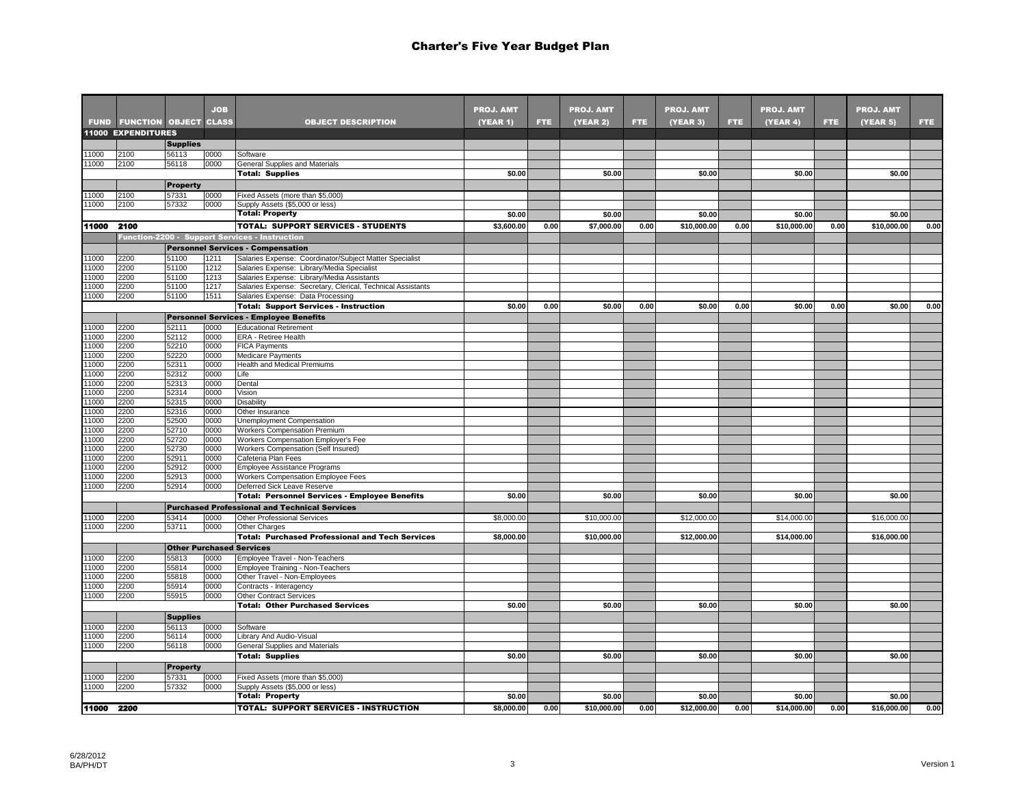|              |                                   |                 | <b>JOB</b>   |                                                                                                       | <b>PROJ. AMT</b> |      | <b>PROJ. AMT</b> |      | <b>PROJ. AMT</b> |      | <b>PROJ. AMT</b> |      | <b>PROJ. AMT</b> |      |
|--------------|-----------------------------------|-----------------|--------------|-------------------------------------------------------------------------------------------------------|------------------|------|------------------|------|------------------|------|------------------|------|------------------|------|
|              | <b>FUND FUNCTION OBJECT CLASS</b> |                 |              | <b>OBJECT DESCRIPTION</b>                                                                             | (YEAR 1)         | FTE. | (YEAR 2)         | FTE. | (YEAR 3)         | FTE. | (YEAR 4)         | FTE. | <b>(YEAR 5)</b>  | FTE. |
|              | <b>11000 EXPENDITURES</b>         |                 |              |                                                                                                       |                  |      |                  |      |                  |      |                  |      |                  |      |
|              |                                   | <b>Supplies</b> |              |                                                                                                       |                  |      |                  |      |                  |      |                  |      |                  |      |
| 1000         | 2100                              | 56113           | 0000         | Software                                                                                              |                  |      |                  |      |                  |      |                  |      |                  |      |
| 11000        | 2100                              | 56118           | 0000         | General Supplies and Materials                                                                        | \$0.00           |      | \$0.00           |      | \$0.00           |      | \$0.00           |      | \$0.00           |      |
|              |                                   |                 |              | <b>Total: Supplies</b>                                                                                |                  |      |                  |      |                  |      |                  |      |                  |      |
|              |                                   | <b>Property</b> |              |                                                                                                       |                  |      |                  |      |                  |      |                  |      |                  |      |
| 1000<br>1000 | 2100<br>2100                      | 57331<br>57332  | 0000<br>0000 | Fixed Assets (more than \$5,000)<br>Supply Assets (\$5,000 or less)                                   |                  |      |                  |      |                  |      |                  |      |                  |      |
|              |                                   |                 |              | <b>Total: Property</b>                                                                                | \$0.00           |      | \$0.00           |      | \$0.00           |      | \$0.00           |      | \$0.00           |      |
| 11000        | 2100                              |                 |              | <b>TOTAL: SUPPORT SERVICES - STUDENTS</b>                                                             | \$3,600.00       | 0.00 | \$7,000.00       | 0.00 | \$10,000.00      | 0.00 | \$10,000.00      | 0.00 | \$10,000.00      | 0.00 |
|              |                                   |                 |              |                                                                                                       |                  |      |                  |      |                  |      |                  |      |                  |      |
|              |                                   |                 |              | <b>Function-2200 - Support Services - Instruction</b>                                                 |                  |      |                  |      |                  |      |                  |      |                  |      |
|              |                                   |                 |              | <b>Personnel Services - Compensation</b>                                                              |                  |      |                  |      |                  |      |                  |      |                  |      |
| 1000<br>1000 | 2200<br>2200                      | 51100<br>51100  | 1211<br>1212 | Salaries Expense: Coordinator/Subject Matter Specialist<br>Salaries Expense: Library/Media Specialist |                  |      |                  |      |                  |      |                  |      |                  |      |
| 1000         | 2200                              | 51100           | 1213         | Salaries Expense: Library/Media Assistants                                                            |                  |      |                  |      |                  |      |                  |      |                  |      |
| 1000         | 2200                              | 51100           | 1217         | Salaries Expense: Secretary, Clerical, Technical Assistants                                           |                  |      |                  |      |                  |      |                  |      |                  |      |
| 1000         | 2200                              | 51100           | 1511         | Salaries Expense: Data Processing                                                                     |                  |      |                  |      |                  |      |                  |      |                  |      |
|              |                                   |                 |              | <b>Total: Support Services - Instruction</b>                                                          | \$0.00           | 0.00 | \$0.00           | 0.00 | \$0.00           | 0.00 | \$0.00           | 0.00 | \$0.00           | 0.00 |
|              |                                   |                 |              | <b>Personnel Services - Employee Benefits</b>                                                         |                  |      |                  |      |                  |      |                  |      |                  |      |
| 1000         | 2200                              | 52111           | 0000         | <b>Educational Retirement</b>                                                                         |                  |      |                  |      |                  |      |                  |      |                  |      |
| 1000         | 2200                              | 52112           | 0000         | ERA - Retiree Health                                                                                  |                  |      |                  |      |                  |      |                  |      |                  |      |
| 1000         | 2200                              | 52210           | 0000         | FICA Payments                                                                                         |                  |      |                  |      |                  |      |                  |      |                  |      |
| 1000         | 2200                              | 52220           | 0000         | Medicare Payments                                                                                     |                  |      |                  |      |                  |      |                  |      |                  |      |
| 1000         | 2200                              | 52311           | 0000         | <b>Health and Medical Premiums</b>                                                                    |                  |      |                  |      |                  |      |                  |      |                  |      |
| 1000         | 2200                              | 52312           | 0000         | Life                                                                                                  |                  |      |                  |      |                  |      |                  |      |                  |      |
| 1000         | 2200                              | 52313           | 0000         | Dental                                                                                                |                  |      |                  |      |                  |      |                  |      |                  |      |
| 1000<br>1000 | 2200<br>2200                      | 52314<br>52315  | 0000<br>0000 | Vision<br>Disability                                                                                  |                  |      |                  |      |                  |      |                  |      |                  |      |
| 1000         | 2200                              | 52316           | 0000         | Other Insurance                                                                                       |                  |      |                  |      |                  |      |                  |      |                  |      |
| 1000         | 2200                              | 52500           | 0000         | Unemployment Compensation                                                                             |                  |      |                  |      |                  |      |                  |      |                  |      |
| 1000         | 2200                              | 52710           | 0000         | Workers Compensation Premium                                                                          |                  |      |                  |      |                  |      |                  |      |                  |      |
| 1000         | 2200                              | 52720           | 0000         | Workers Compensation Employer's Fee                                                                   |                  |      |                  |      |                  |      |                  |      |                  |      |
| 1000         | 2200                              | 52730           | 0000         | Workers Compensation (Self Insured)                                                                   |                  |      |                  |      |                  |      |                  |      |                  |      |
| 1000         | 2200                              | 52911           | 0000         | Cafeteria Plan Fees                                                                                   |                  |      |                  |      |                  |      |                  |      |                  |      |
| 1000         | 2200                              | 52912           | 0000         | Employee Assistance Programs                                                                          |                  |      |                  |      |                  |      |                  |      |                  |      |
| 1000         | 2200                              | 52913           | 0000         | Workers Compensation Employee Fees                                                                    |                  |      |                  |      |                  |      |                  |      |                  |      |
| 1000         | 2200                              | 52914           | 0000         | Deferred Sick Leave Reserve                                                                           |                  |      |                  |      |                  |      |                  |      |                  |      |
|              |                                   |                 |              | <b>Total: Personnel Services - Employee Benefits</b>                                                  | \$0.00           |      | \$0.00           |      | \$0.00           |      | \$0.00           |      | \$0.00           |      |
|              |                                   |                 |              | <b>Purchased Professional and Technical Services</b>                                                  |                  |      |                  |      |                  |      |                  |      |                  |      |
| 1000         | 2200                              | 53414           | 0000         | Other Professional Services                                                                           | \$8,000.00       |      | \$10,000.00      |      | \$12,000.00      |      | \$14,000.00      |      | \$16,000.00      |      |
| 1000         | 2200                              | 53711           | 0000         | Other Charges                                                                                         |                  |      |                  |      |                  |      |                  |      |                  |      |
|              |                                   |                 |              | <b>Total: Purchased Professional and Tech Services</b>                                                | \$8,000.00       |      | \$10,000.00      |      | \$12,000.00      |      | \$14,000.00      |      | \$16,000.00      |      |
|              |                                   |                 |              | <b>Other Purchased Services</b>                                                                       |                  |      |                  |      |                  |      |                  |      |                  |      |
| 1000         | 2200                              | 55813           | 0000         | Employee Travel - Non-Teachers                                                                        |                  |      |                  |      |                  |      |                  |      |                  |      |
| 1000<br>1000 | 2200<br>2200                      | 55814<br>55818  | 0000         | Employee Training - Non-Teachers                                                                      |                  |      |                  |      |                  |      |                  |      |                  |      |
| 1000         | 2200                              | 55914           | 0000<br>0000 | Other Travel - Non-Employees<br>Contracts - Interagency                                               |                  |      |                  |      |                  |      |                  |      |                  |      |
| 1000         | 2200                              | 55915           | 0000         | <b>Other Contract Services</b>                                                                        |                  |      |                  |      |                  |      |                  |      |                  |      |
|              |                                   |                 |              | <b>Total: Other Purchased Services</b>                                                                | \$0.00           |      | \$0.00           |      | \$0.00           |      | \$0.00           |      | \$0.00           |      |
|              |                                   | <b>Supplies</b> |              |                                                                                                       |                  |      |                  |      |                  |      |                  |      |                  |      |
| 1000         | 2200                              | 56113           | 0000         | Software                                                                                              |                  |      |                  |      |                  |      |                  |      |                  |      |
| 1000         | 2200                              | 56114           | 0000         | Library And Audio-Visual                                                                              |                  |      |                  |      |                  |      |                  |      |                  |      |
| 1000         | 2200                              | 56118           | 0000         | General Supplies and Materials                                                                        |                  |      |                  |      |                  |      |                  |      |                  |      |
|              |                                   |                 |              | <b>Total: Supplies</b>                                                                                | \$0.00           |      | \$0.00           |      | \$0.00           |      | \$0.00           |      | \$0.00           |      |
|              |                                   | <b>Property</b> |              |                                                                                                       |                  |      |                  |      |                  |      |                  |      |                  |      |
| 1000         | 2200                              | 57331           | 0000         | Fixed Assets (more than \$5,000)                                                                      |                  |      |                  |      |                  |      |                  |      |                  |      |
| 1000         | 2200                              | 57332           | 0000         | Supply Assets (\$5,000 or less)                                                                       |                  |      |                  |      |                  |      |                  |      |                  |      |
|              |                                   |                 |              | <b>Total: Property</b>                                                                                | \$0.00           |      | \$0.00           |      | \$0.00           |      | \$0.00           |      | \$0.00           |      |
| 11000 2200   |                                   |                 |              | <b>TOTAL: SUPPORT SERVICES - INSTRUCTION</b>                                                          | \$8,000.00       | 0.00 | \$10.000.00      | 0.00 | \$12,000.00      | 0.00 | \$14,000.00      | 0.00 | \$16,000.00      | 0.00 |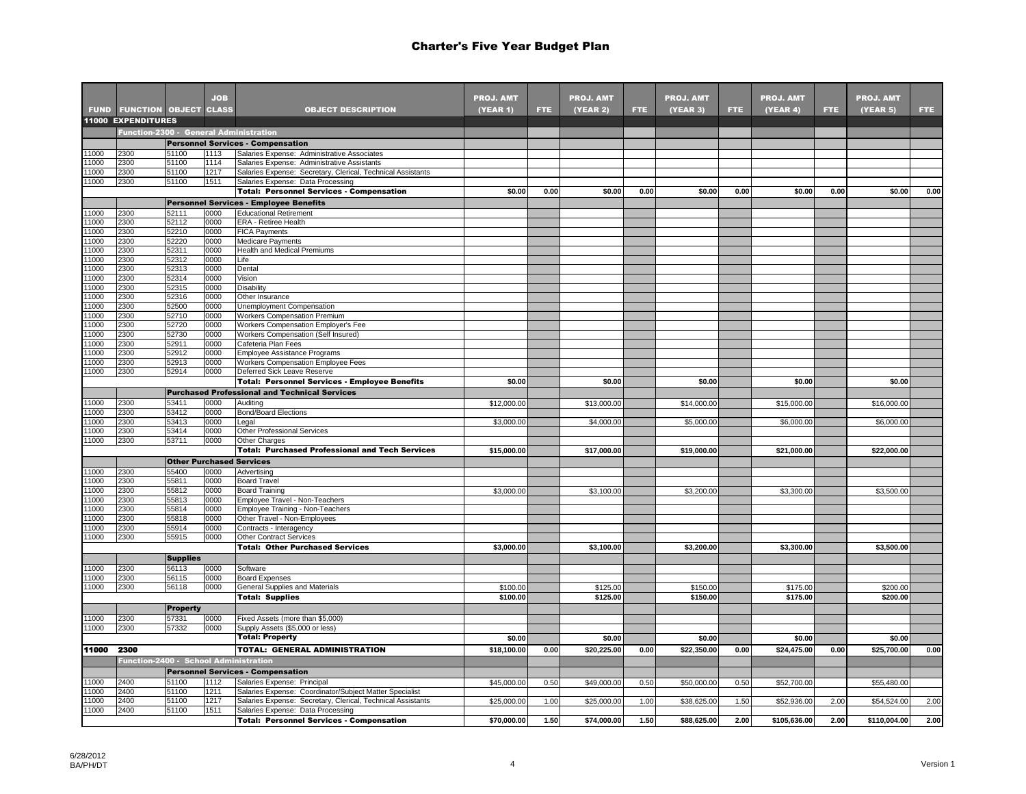|              |                                       |                 | <b>JOB</b>   |                                                                                                            | <b>PROJ. AMT</b> |      | <b>PROJ. AMT</b> |      | <b>PROJ. AMT</b> |      | <b>PROJ. AMT</b> |      | <b>PROJ. AMT</b> |      |
|--------------|---------------------------------------|-----------------|--------------|------------------------------------------------------------------------------------------------------------|------------------|------|------------------|------|------------------|------|------------------|------|------------------|------|
| <b>FUND</b>  | <b>FUNCTION OBJECT CLASS</b>          |                 |              | <b>OBJECT DESCRIPTION</b>                                                                                  | (YEAR 1)         | FTE. | <b>(YEAR 2)</b>  | FTE. | (YEAR 3)         | FTE. | (YEAR 4)         | FTE. | (YEAR 5)         | FTE. |
|              | <b>11000 EXPENDITURES</b>             |                 |              |                                                                                                            |                  |      |                  |      |                  |      |                  |      |                  |      |
|              |                                       |                 |              | Function-2300 - General Administration                                                                     |                  |      |                  |      |                  |      |                  |      |                  |      |
|              |                                       |                 |              | <b>Personnel Services - Compensation</b>                                                                   |                  |      |                  |      |                  |      |                  |      |                  |      |
| 1000<br>1000 | 2300<br>2300                          | 51100<br>51100  | 1113<br>1114 | Salaries Expense: Administrative Associates                                                                |                  |      |                  |      |                  |      |                  |      |                  |      |
| 1000         | 2300                                  | 51100           | 1217         | Salaries Expense: Administrative Assistants<br>Salaries Expense: Secretary, Clerical, Technical Assistants |                  |      |                  |      |                  |      |                  |      |                  |      |
| 1000         | 2300                                  | 51100           | 1511         | Salaries Expense: Data Processing                                                                          |                  |      |                  |      |                  |      |                  |      |                  |      |
|              |                                       |                 |              | <b>Total: Personnel Services - Compensation</b>                                                            | \$0.00           | 0.00 | \$0.00           | 0.00 | \$0.00           | 0.00 | \$0.00           | 0.00 | \$0.00           | 0.00 |
|              |                                       |                 |              | <b>Personnel Services - Employee Benefits</b>                                                              |                  |      |                  |      |                  |      |                  |      |                  |      |
| 1000         | 2300                                  | 52111           | 0000         | <b>Educational Retirement</b>                                                                              |                  |      |                  |      |                  |      |                  |      |                  |      |
| 1000         | 2300                                  | 52112           | 0000         | ERA - Retiree Health                                                                                       |                  |      |                  |      |                  |      |                  |      |                  |      |
| 1000         | 2300                                  | 52210           | 0000         | <b>FICA Payments</b>                                                                                       |                  |      |                  |      |                  |      |                  |      |                  |      |
| 1000         | 2300                                  | 52220           | 0000         | <b>Medicare Payments</b>                                                                                   |                  |      |                  |      |                  |      |                  |      |                  |      |
| 1000         | 2300                                  | 52311           | 0000         | <b>Health and Medical Premiums</b>                                                                         |                  |      |                  |      |                  |      |                  |      |                  |      |
| 1000         | 2300                                  | 52312           | 0000         | Life                                                                                                       |                  |      |                  |      |                  |      |                  |      |                  |      |
| 1000         | 2300                                  | 52313           | 0000         | Dental                                                                                                     |                  |      |                  |      |                  |      |                  |      |                  |      |
| 1000         | 2300                                  | 52314           | 0000         | Vision                                                                                                     |                  |      |                  |      |                  |      |                  |      |                  |      |
| 1000         | 2300                                  | 52315           | 0000         | Disability                                                                                                 |                  |      |                  |      |                  |      |                  |      |                  |      |
| 1000<br>1000 | 2300<br>2300                          | 52316           | 0000         | Other Insurance                                                                                            |                  |      |                  |      |                  |      |                  |      |                  |      |
| 1000         | 2300                                  | 52500<br>52710  | 0000<br>0000 | Unemployment Compensation<br><b>Workers Compensation Premium</b>                                           |                  |      |                  |      |                  |      |                  |      |                  |      |
| 1000         | 2300                                  | 52720           | 0000         | Workers Compensation Employer's Fee                                                                        |                  |      |                  |      |                  |      |                  |      |                  |      |
| 1000         | 2300                                  | 52730           | 0000         | Workers Compensation (Self Insured)                                                                        |                  |      |                  |      |                  |      |                  |      |                  |      |
| 1000         | 2300                                  | 52911           | 0000         | Cafeteria Plan Fees                                                                                        |                  |      |                  |      |                  |      |                  |      |                  |      |
| 1000         | 2300                                  | 52912           | 0000         | Employee Assistance Programs                                                                               |                  |      |                  |      |                  |      |                  |      |                  |      |
| 1000         | 2300                                  | 52913           | 0000         | Workers Compensation Employee Fees                                                                         |                  |      |                  |      |                  |      |                  |      |                  |      |
| 1000         | 2300                                  | 52914           | 0000         | Deferred Sick Leave Reserve                                                                                |                  |      |                  |      |                  |      |                  |      |                  |      |
|              |                                       |                 |              | <b>Total: Personnel Services - Employee Benefits</b>                                                       | \$0.00           |      | \$0.00           |      | \$0.00           |      | \$0.00           |      | \$0.00           |      |
|              |                                       |                 |              | <b>Purchased Professional and Technical Services</b>                                                       |                  |      |                  |      |                  |      |                  |      |                  |      |
| 1000         | 2300                                  | 53411           | 0000         | Auditing                                                                                                   | \$12,000.00      |      | \$13,000.00      |      | \$14,000.00      |      | \$15,000.00      |      | \$16,000.00      |      |
| 1000         | 2300                                  | 53412           | 0000         | <b>Bond/Board Elections</b>                                                                                |                  |      |                  |      |                  |      |                  |      |                  |      |
| 1000         | 2300                                  | 53413           | 0000         | Legal                                                                                                      | \$3,000.00       |      | \$4,000.00       |      | \$5,000.00       |      | \$6,000.00       |      | \$6,000.00       |      |
| 1000         | 2300                                  | 53414           | 0000         | Other Professional Services                                                                                |                  |      |                  |      |                  |      |                  |      |                  |      |
| 1000         | 2300                                  | 53711           | 0000         | Other Charges                                                                                              |                  |      |                  |      |                  |      |                  |      |                  |      |
|              |                                       |                 |              | <b>Total: Purchased Professional and Tech Services</b>                                                     | \$15,000.00      |      | \$17,000.00      |      | \$19,000.00      |      | \$21,000.00      |      | \$22,000.00      |      |
|              |                                       |                 |              | <b>Other Purchased Services</b>                                                                            |                  |      |                  |      |                  |      |                  |      |                  |      |
| 1000         | 2300                                  | 55400           | 0000         | Advertising                                                                                                |                  |      |                  |      |                  |      |                  |      |                  |      |
| 1000         | 2300                                  | 55811           | 0000         | <b>Board Travel</b>                                                                                        |                  |      |                  |      |                  |      |                  |      |                  |      |
| 1000<br>1000 | 2300<br>2300                          | 55812<br>55813  | 0000<br>0000 | <b>Board Training</b>                                                                                      | \$3,000.00       |      | \$3,100.00       |      | \$3,200.00       |      | \$3,300.00       |      | \$3,500.00       |      |
| 1000         | 2300                                  | 55814           | 0000         | Employee Travel - Non-Teachers<br>Employee Training - Non-Teachers                                         |                  |      |                  |      |                  |      |                  |      |                  |      |
| 1000         | 2300                                  | 55818           | 0000         | Other Travel - Non-Employees                                                                               |                  |      |                  |      |                  |      |                  |      |                  |      |
| 1000         | 2300                                  | 55914           | 0000         | Contracts - Interagency                                                                                    |                  |      |                  |      |                  |      |                  |      |                  |      |
| 1000         | 2300                                  | 55915           | 0000         | <b>Other Contract Services</b>                                                                             |                  |      |                  |      |                  |      |                  |      |                  |      |
|              |                                       |                 |              | <b>Total: Other Purchased Services</b>                                                                     | \$3,000.00       |      | \$3,100.00       |      | \$3,200.00       |      | \$3,300.00       |      | \$3,500.00       |      |
|              |                                       | <b>Supplies</b> |              |                                                                                                            |                  |      |                  |      |                  |      |                  |      |                  |      |
| 1000         | 2300                                  | 56113           | 0000         | Software                                                                                                   |                  |      |                  |      |                  |      |                  |      |                  |      |
| 1000         | 2300                                  | 56115           | 0000         | <b>Board Expenses</b>                                                                                      |                  |      |                  |      |                  |      |                  |      |                  |      |
| 1000         | 2300                                  | 56118           | 0000         | General Supplies and Materials                                                                             | \$100.00         |      | \$125.00         |      | \$150.00         |      | \$175.00         |      | \$200.00         |      |
|              |                                       |                 |              | <b>Total: Supplies</b>                                                                                     | \$100.00         |      | \$125.00         |      | \$150.00         |      | \$175.00         |      | \$200.00         |      |
|              |                                       | <b>Property</b> |              |                                                                                                            |                  |      |                  |      |                  |      |                  |      |                  |      |
| 1000         | 2300                                  | 57331           | 0000         | Fixed Assets (more than \$5,000)                                                                           |                  |      |                  |      |                  |      |                  |      |                  |      |
| 1000         | 2300                                  | 57332           | 0000         | Supply Assets (\$5,000 or less)                                                                            |                  |      |                  |      |                  |      |                  |      |                  |      |
|              |                                       |                 |              | <b>Total: Property</b>                                                                                     | \$0.00           |      | \$0.00           |      | \$0.00           |      | \$0.00           |      | \$0.00           |      |
| 11000        | 2300                                  |                 |              | <b>TOTAL: GENERAL ADMINISTRATION</b>                                                                       | \$18,100.00      | 0.00 | \$20,225.00      | 0.00 | \$22,350.00      | 0.00 | \$24,475.00      | 0.00 | \$25,700.00      | 0.00 |
|              | Function-2400 - School Administration |                 |              |                                                                                                            |                  |      |                  |      |                  |      |                  |      |                  |      |
|              |                                       |                 |              | <b>Personnel Services - Compensation</b>                                                                   |                  |      |                  |      |                  |      |                  |      |                  |      |
| 1000         | 2400                                  | 51100           | 1112         | Salaries Expense: Principal                                                                                |                  |      |                  |      |                  | 0.50 |                  |      |                  |      |
| 1000         | 2400                                  | 51100           | 1211         | Salaries Expense: Coordinator/Subject Matter Specialist                                                    | \$45,000.00      | 0.50 | \$49,000.00      | 0.50 | \$50,000.00      |      | \$52,700.00      |      | \$55,480.00      |      |
| 1000         | 2400                                  | 51100           | 1217         | Salaries Expense: Secretary, Clerical, Technical Assistants                                                | \$25,000.00      | 1.00 | \$25,000.00      | 1.00 | \$38,625.00      | 1.50 | \$52,936.00      | 2.00 | \$54,524.00      | 2.00 |
| 1000         | 2400                                  | 51100           | 1511         | Salaries Expense: Data Processing                                                                          |                  |      |                  |      |                  |      |                  |      |                  |      |
|              |                                       |                 |              | <b>Total: Personnel Services - Compensation</b>                                                            | \$70,000.00      | 1.50 | \$74,000.00      | 1.50 | \$88,625.00      | 2.00 | \$105,636.00     | 2.00 | \$110,004.00     | 2.00 |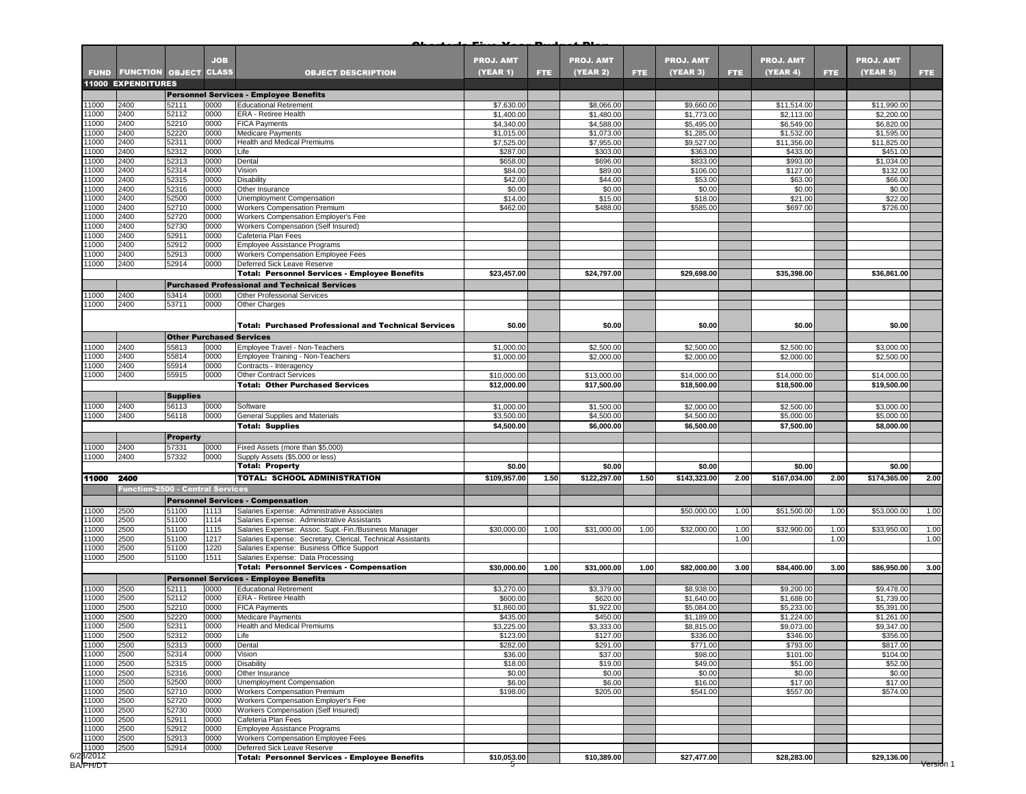|                                      |                                         |                 | <b>JOB</b>   |                                                                                      | <b>PROJ. AMT</b>         |      | <b>PROJ. AMT</b>         |      | <b>PROJ. AMT</b>         |      | <b>PROJ. AMT</b>          |            | <b>PROJ. AMT</b>          |            |
|--------------------------------------|-----------------------------------------|-----------------|--------------|--------------------------------------------------------------------------------------|--------------------------|------|--------------------------|------|--------------------------|------|---------------------------|------------|---------------------------|------------|
|                                      | <b>FUND FUNCTION OBJECT CLASS</b>       |                 |              | <b>OBJECT DESCRIPTION</b>                                                            | <b>(YEAR 1)</b>          | FTE. | (YEAR 2)                 | FTE. | (YEAR 3)                 | FTE. | (YEAR 4)                  | <b>FTE</b> | (YEAR 5)                  | <b>FTE</b> |
|                                      | <b>11000 EXPENDITURES</b>               |                 |              |                                                                                      |                          |      |                          |      |                          |      |                           |            |                           |            |
|                                      |                                         |                 |              | <b>Personnel Services - Employee Benefits</b>                                        |                          |      |                          |      |                          |      |                           |            |                           |            |
| 11000<br>11000                       | 2400<br>2400                            | 52111<br>52112  | 0000<br>0000 | <b>Educational Retirement</b><br>ERA - Retiree Health                                | \$7,630.00<br>\$1,400.00 |      | \$8,066.00<br>\$1,480.00 |      | \$9,660.00<br>\$1,773.00 |      | \$11,514.00<br>\$2,113.00 |            | \$11,990.00<br>\$2,200.00 |            |
| 11000                                | 2400                                    | 52210           | 0000         | <b>FICA Payments</b>                                                                 | \$4,340.00               |      | \$4,588.00               |      | \$5,495.00               |      | \$6,549.00                |            | \$6,820.00                |            |
| 11000                                | 2400                                    | 52220           | 0000         | <b>Medicare Payments</b>                                                             | \$1,015.00               |      | \$1,073.00               |      | \$1,285.00               |      | \$1,532.00                |            | \$1,595.00                |            |
| 11000                                | 2400                                    | 52311           | 0000         | Health and Medical Premiums                                                          | \$7,525.00               |      | \$7,955.00               |      | \$9,527.00               |      | \$11,356.00               |            | \$11,825.00               |            |
| 11000                                | 2400                                    | 52312           | 0000         | Life                                                                                 | \$287.00                 |      | \$303.00                 |      | \$363.00                 |      | \$433.00                  |            | \$451.00                  |            |
| 11000                                | 2400                                    | 52313           | 0000         | Dental                                                                               | \$658.00                 |      | \$696.00                 |      | \$833.00                 |      | \$993.00                  |            | \$1,034.00                |            |
| 11000<br>11000                       | 2400<br>2400                            | 52314<br>52315  | 0000<br>0000 | Vision<br>Disability                                                                 | \$84.00<br>\$42.00       |      | \$89.00<br>\$44.00       |      | \$106.00<br>\$53.00      |      | \$127.00<br>\$63.00       |            | \$132.00<br>\$66.00       |            |
| 11000                                | 2400                                    | 52316           | 0000         | Other Insurance                                                                      | \$0.00                   |      | \$0.00                   |      | \$0.00                   |      | \$0.00                    |            | \$0.00                    |            |
| 11000                                | 2400                                    | 52500           | 0000         | Unemployment Compensation                                                            | \$14.00                  |      | \$15.00                  |      | \$18.00                  |      | \$21.00                   |            | \$22.00                   |            |
| 11000                                | 2400                                    | 52710           | 0000         | <b>Workers Compensation Premium</b>                                                  | \$462.00                 |      | \$488.00                 |      | \$585.00                 |      | \$697.00                  |            | \$726.00                  |            |
| 11000                                | 2400                                    | 52720           | 0000         | Workers Compensation Employer's Fee                                                  |                          |      |                          |      |                          |      |                           |            |                           |            |
| 11000                                | 2400                                    | 52730           | 0000         | Workers Compensation (Self Insured)                                                  |                          |      |                          |      |                          |      |                           |            |                           |            |
| 11000                                | 2400                                    | 52911           | 0000         | Cafeteria Plan Fees                                                                  |                          |      |                          |      |                          |      |                           |            |                           |            |
| 11000<br>11000                       | 2400<br>2400                            | 52912<br>52913  | 0000<br>0000 | Employee Assistance Programs<br>Workers Compensation Employee Fees                   |                          |      |                          |      |                          |      |                           |            |                           |            |
| 11000                                | 2400                                    | 52914           | 0000         | Deferred Sick Leave Reserve                                                          |                          |      |                          |      |                          |      |                           |            |                           |            |
|                                      |                                         |                 |              | <b>Total: Personnel Services - Employee Benefits</b>                                 | \$23,457.00              |      | \$24,797.00              |      | \$29,698.00              |      | \$35,398.00               |            | \$36,861.00               |            |
|                                      |                                         |                 |              | <b>Purchased Professional and Technical Services</b>                                 |                          |      |                          |      |                          |      |                           |            |                           |            |
| 11000                                | 2400                                    | 53414           | 0000         | <b>Other Professional Services</b>                                                   |                          |      |                          |      |                          |      |                           |            |                           |            |
| 11000                                | 2400                                    | 53711           | 0000         | Other Charges                                                                        |                          |      |                          |      |                          |      |                           |            |                           |            |
|                                      |                                         |                 |              |                                                                                      |                          |      |                          |      |                          |      |                           |            |                           |            |
|                                      |                                         |                 |              | <b>Total: Purchased Professional and Technical Services</b>                          | \$0.00                   |      | \$0.00                   |      | \$0.00                   |      | \$0.00                    |            | \$0.00                    |            |
|                                      |                                         |                 |              | <b>Other Purchased Services</b>                                                      |                          |      |                          |      |                          |      |                           |            |                           |            |
| 11000                                | 2400                                    | 55813           | 0000         | Employee Travel - Non-Teachers                                                       | \$1,000.00               |      | \$2,500.00               |      | \$2,500.00               |      | \$2,500.00                |            | \$3,000.00                |            |
| 11000                                | 2400                                    | 55814           | 0000         | Employee Training - Non-Teachers                                                     | \$1,000.00               |      | \$2,000.00               |      | \$2,000.00               |      | \$2,000.00                |            | \$2,500.00                |            |
| 11000                                | 2400                                    | 55914           | 0000         | Contracts - Interagency                                                              |                          |      |                          |      |                          |      |                           |            |                           |            |
| 11000                                | 2400                                    | 55915           | 0000         | <b>Other Contract Services</b>                                                       | \$10,000.00              |      | \$13,000.00              |      | \$14,000.00              |      | \$14,000.00               |            | \$14,000.00               |            |
|                                      |                                         |                 |              | <b>Total: Other Purchased Services</b>                                               | \$12,000.00              |      | \$17,500.00              |      | \$18,500.00              |      | \$18,500.00               |            | \$19,500.00               |            |
|                                      |                                         | <b>Supplies</b> |              |                                                                                      |                          |      |                          |      |                          |      |                           |            |                           |            |
| 11000<br>11000                       | 2400<br>2400                            | 56113<br>56118  | 0000<br>0000 | Software<br>General Supplies and Materials                                           | \$1,000.00<br>\$3,500.00 |      | \$1,500.00<br>\$4,500.00 |      | \$2,000.00<br>\$4,500.00 |      | \$2,500.00<br>\$5,000.00  |            | \$3,000.00<br>\$5,000.00  |            |
|                                      |                                         |                 |              | <b>Total: Supplies</b>                                                               | \$4,500.00               |      | \$6,000.00               |      | \$6,500.00               |      | \$7,500.00                |            | \$8,000.00                |            |
|                                      |                                         | <b>Property</b> |              |                                                                                      |                          |      |                          |      |                          |      |                           |            |                           |            |
| 11000                                | 2400                                    | 57331           | 0000         | Fixed Assets (more than \$5,000)                                                     |                          |      |                          |      |                          |      |                           |            |                           |            |
| 11000                                | 2400                                    | 57332           | 0000         | Supply Assets (\$5,000 or less)                                                      |                          |      |                          |      |                          |      |                           |            |                           |            |
|                                      |                                         |                 |              | <b>Total: Property</b>                                                               | \$0.00                   |      | \$0.00                   |      | \$0.00                   |      | \$0.00                    |            | \$0.00                    |            |
| 11000                                | 2400                                    |                 |              | <b>TOTAL: SCHOOL ADMINISTRATION</b>                                                  | \$109,957.00             | 1.50 | \$122,297.00             | 1.50 | \$143,323.00             | 2.00 | \$167,034.00              | 2.00       | \$174,365.00              | 2.00       |
|                                      | <b>Function-2500 - Central Services</b> |                 |              |                                                                                      |                          |      |                          |      |                          |      |                           |            |                           |            |
|                                      |                                         |                 |              | <b>Personnel Services - Compensation</b>                                             |                          |      |                          |      |                          |      |                           |            |                           |            |
| 11000                                | 2500                                    | 51100           | 1113         | Salaries Expense: Administrative Associates                                          |                          |      |                          |      | \$50,000.00              | 1.00 | \$51,500.00               | 1.00       | \$53,000.00               | 1.00       |
| 11000                                | 2500                                    | 51100           | 1114         | Salaries Expense: Administrative Assistants                                          |                          |      |                          |      |                          |      |                           |            |                           |            |
| 11000                                | 2500                                    | 51100           | 1115         | Salaries Expense: Assoc. Supt.-Fin./Business Manager                                 | \$30,000.00              | 1.00 | \$31,000.00              | 1.00 | \$32,000.00              | 1.00 | \$32,900.00               | 1.00       | \$33,950.00               | 1.00       |
| 11000                                | 2500                                    | 51100           | 1217         | Salaries Expense: Secretary, Clerical, Technical Assistants                          |                          |      |                          |      |                          | 1.00 |                           | 1.00       |                           | 1.00       |
| 11000<br>11000                       | 2500                                    | 51100<br>51100  | 1220         | Salaries Expense: Business Office Support                                            |                          |      |                          |      |                          |      |                           |            |                           |            |
|                                      | 2500                                    |                 | 1511         | Salaries Expense: Data Processing<br><b>Total: Personnel Services - Compensation</b> | \$30,000.00              | 1.00 | \$31,000.00              | 1.00 | \$82,000.00              | 3.00 | \$84,400.00               | 3.00       | \$86,950.00               | 3.00       |
|                                      |                                         |                 |              | <b>Personnel Services - Employee Benefits</b>                                        |                          |      |                          |      |                          |      |                           |            |                           |            |
| 11000                                | 2500                                    | 52111           | 0000         | <b>Educational Retirement</b>                                                        | \$3,270.00               |      | \$3,379.00               |      | \$8,938.00               |      | \$9,200.00                |            | \$9,478.00                |            |
| 11000                                | 2500                                    | 52112           | 0000         | ERA - Retiree Health                                                                 | \$600.00                 |      | \$620.00                 |      | \$1,640.00               |      | \$1,688.00                |            | \$1,739.00                |            |
| 11000                                | 2500                                    | 52210           | 0000         | <b>FICA Payments</b>                                                                 | \$1,860.00               |      | \$1,922.00               |      | \$5,084.00               |      | \$5,233.00                |            | \$5,391.00                |            |
| 11000                                | 2500                                    | 52220           | 0000         | Medicare Payments                                                                    | \$435.00                 |      | \$450.00                 |      | \$1,189.00               |      | \$1,224.00                |            | \$1,261.00                |            |
| 11000                                | 2500                                    | 52311           | 0000         | Health and Medical Premiums                                                          | \$3,225.00               |      | \$3,333.00               |      | \$8,815.00               |      | \$9,073.00                |            | \$9,347.00                |            |
| 11000                                | 2500                                    | 52312           | 0000         | Life                                                                                 | \$123.00                 |      | \$127.00                 |      | \$336.00                 |      | \$346.00                  |            | \$356.00                  |            |
| 11000                                | 2500                                    | 52313           | 0000         | Dental                                                                               | \$282.00                 |      | \$291.00                 |      | \$771.00                 |      | \$793.00                  |            | \$817.00                  |            |
| 11000                                | 2500                                    | 52314           | 0000<br>0000 | Vision<br><b>Disability</b>                                                          | \$36.00                  |      | \$37.00                  |      | \$98.00                  |      | \$101.00                  |            | \$104.00                  |            |
| 11000<br>11000                       | 2500<br>2500                            | 52315<br>52316  | 0000         | Other Insurance                                                                      | \$18.00<br>\$0.00        |      | \$19.00<br>\$0.00        |      | \$49.00<br>\$0.00        |      | \$51.00<br>\$0.00         |            | \$52.00<br>\$0.00         |            |
| 11000                                | 2500                                    | 52500           | 0000         | <b>Unemployment Compensation</b>                                                     | \$6.00                   |      | \$6.00                   |      | \$16.00                  |      | \$17.00                   |            | \$17.00                   |            |
| 11000                                | 2500                                    | 52710           | 0000         | Workers Compensation Premium                                                         | \$198.00                 |      | \$205.00                 |      | \$541.00                 |      | \$557.00                  |            | \$574.00                  |            |
| 11000                                | 2500                                    | 52720           | 0000         | Workers Compensation Employer's Fee                                                  |                          |      |                          |      |                          |      |                           |            |                           |            |
| 11000                                | 2500                                    | 52730           | 0000         | Workers Compensation (Self Insured)                                                  |                          |      |                          |      |                          |      |                           |            |                           |            |
|                                      |                                         | 52911           | 0000         | Cafeteria Plan Fees                                                                  |                          |      |                          |      |                          |      |                           |            |                           |            |
| 11000                                | 2500                                    |                 |              |                                                                                      |                          |      |                          |      |                          |      |                           |            |                           |            |
|                                      | 2500                                    | 52912           | 0000         | Employee Assistance Programs                                                         |                          |      |                          |      |                          |      |                           |            |                           |            |
|                                      | 2500                                    | 52913           | 0000         | Workers Compensation Employee Fees                                                   |                          |      |                          |      |                          |      |                           |            |                           |            |
| 11000<br>11000<br>11000<br>6/23/2012 | 2500                                    | 52914           | 0000         | Deferred Sick Leave Reserve<br><b>Total: Personnel Services - Employee Benefits</b>  | \$10,053.00              |      | \$10,389.00              |      | \$27,477.00              |      | \$28,283.00               |            | \$29,136.00               |            |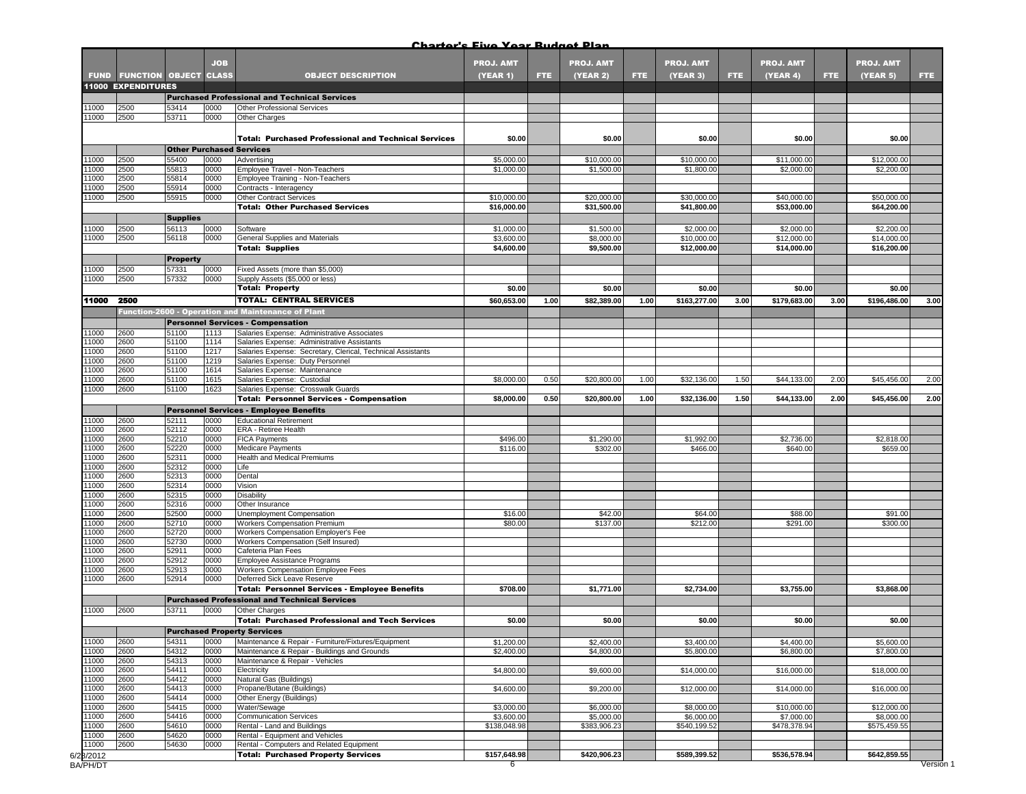|                    |                             |                                 | <b>JOB</b>   |                                                                                                              | <b>PROJ. AMT</b>         |      | <b>PROJ. AMT</b>          |      | <b>PROJ. AMT</b>          |      | <b>PROJ. AMT</b>          |            | <b>PROJ. AMT</b>          |      |
|--------------------|-----------------------------|---------------------------------|--------------|--------------------------------------------------------------------------------------------------------------|--------------------------|------|---------------------------|------|---------------------------|------|---------------------------|------------|---------------------------|------|
|                    | <b>FUND FUNCTION OBJECT</b> |                                 | <b>CLASS</b> | <b>OBJECT DESCRIPTION</b>                                                                                    | <b>(YEAR 1)</b>          | FTE. | <b>(YEAR 2)</b>           | FTE. | (YEAR 3)                  | FTE. | (YEAR 4)                  | <b>FTE</b> | (YEAR 5)                  | FTE. |
|                    | <b>11000 EXPENDITURES</b>   |                                 |              | <b>Purchased Professional and Technical Services</b>                                                         |                          |      |                           |      |                           |      |                           |            |                           |      |
| 11000              | 2500                        | 53414                           | 0000         | <b>Other Professional Services</b>                                                                           |                          |      |                           |      |                           |      |                           |            |                           |      |
| 11000              | 2500                        | 53711                           | 0000         | Other Charges                                                                                                |                          |      |                           |      |                           |      |                           |            |                           |      |
|                    |                             |                                 |              | <b>Total: Purchased Professional and Technical Services</b>                                                  | \$0.00                   |      | \$0.00                    |      | \$0.00                    |      | \$0.00                    |            | \$0.00                    |      |
|                    |                             | <b>Other Purchased Services</b> |              |                                                                                                              |                          |      |                           |      |                           |      |                           |            |                           |      |
| 11000<br>11000     | 2500<br>2500                | 55400<br>55813                  | 0000<br>0000 | Advertising<br>Employee Travel - Non-Teachers                                                                | \$5,000.00<br>\$1,000.00 |      | \$10,000.00<br>\$1,500.00 |      | \$10,000.00<br>\$1,800.00 |      | \$11,000.00<br>\$2,000.00 |            | \$12,000.00<br>\$2,200.00 |      |
| 1000               | 2500                        | 55814                           | 0000         | Employee Training - Non-Teachers                                                                             |                          |      |                           |      |                           |      |                           |            |                           |      |
| 1000               | 2500                        | 55914                           | 0000         | Contracts - Interagency                                                                                      |                          |      |                           |      |                           |      |                           |            |                           |      |
| 11000              | 2500                        | 55915                           | 0000         | <b>Other Contract Services</b>                                                                               | \$10,000.00              |      | \$20,000.00               |      | \$30,000.00               |      | \$40,000.00               |            | \$50,000.00               |      |
|                    |                             | <b>Supplies</b>                 |              | <b>Total: Other Purchased Services</b>                                                                       | \$16,000.00              |      | \$31,500.00               |      | \$41,800.00               |      | \$53,000.00               |            | \$64,200.00               |      |
| 1000               | 2500                        | 56113                           | 0000         | Software                                                                                                     | \$1,000.00               |      | \$1,500.00                |      | \$2,000.00                |      | \$2,000.00                |            | \$2,200.00                |      |
| 1000               | 2500                        | 56118                           | 0000         | General Supplies and Materials                                                                               | \$3,600.00               |      | \$8,000.00                |      | \$10,000.00               |      | \$12,000.00               |            | \$14,000.00               |      |
|                    |                             |                                 |              | <b>Total: Supplies</b>                                                                                       | \$4,600.00               |      | \$9,500.00                |      | \$12,000.00               |      | \$14,000.00               |            | \$16,200.00               |      |
|                    |                             | <b>Property</b>                 |              |                                                                                                              |                          |      |                           |      |                           |      |                           |            |                           |      |
| 1000               | 2500<br>2500                | 57331                           | 0000         | Fixed Assets (more than \$5,000)                                                                             |                          |      |                           |      |                           |      |                           |            |                           |      |
| 11000              |                             | 57332                           | 0000         | Supply Assets (\$5,000 or less)<br><b>Total: Property</b>                                                    | \$0.00                   |      | \$0.00                    |      | \$0.00                    |      | \$0.00                    |            | \$0.00                    |      |
| 11000              | 2500                        |                                 |              | <b>TOTAL: CENTRAL SERVICES</b>                                                                               | \$60,653.00              | 1.00 | \$82,389.00               | 1.00 | \$163,277.00              | 3.00 | \$179,683.00              | 3.00       | \$196,486.00              | 3.00 |
|                    |                             |                                 |              | Function-2600 - Operation and Maintenance of Plant                                                           |                          |      |                           |      |                           |      |                           |            |                           |      |
|                    |                             |                                 |              | <b>Personnel Services - Compensation</b>                                                                     |                          |      |                           |      |                           |      |                           |            |                           |      |
| 11000              | 2600                        | 51100                           | 1113         | Salaries Expense: Administrative Associates                                                                  |                          |      |                           |      |                           |      |                           |            |                           |      |
| 1000               | 2600                        | 51100                           | 1114         | Salaries Expense: Administrative Assistants                                                                  |                          |      |                           |      |                           |      |                           |            |                           |      |
| 11000<br>11000     | 2600<br>2600                | 51100<br>51100                  | 1217<br>1219 | Salaries Expense: Secretary, Clerical, Technical Assistants<br>Salaries Expense: Duty Personnel              |                          |      |                           |      |                           |      |                           |            |                           |      |
| 11000              | 2600                        | 51100                           | 1614         | Salaries Expense: Maintenance                                                                                |                          |      |                           |      |                           |      |                           |            |                           |      |
| 11000              | 2600                        | 51100                           | 1615         | Salaries Expense: Custodial                                                                                  | \$8,000.00               | 0.50 | \$20,800.00               | 1.00 | \$32,136.00               | 1.50 | \$44,133.00               | 2.00       | \$45,456.00               | 2.00 |
| 1000               | 2600                        | 51100                           | 1623         | Salaries Expense: Crosswalk Guards                                                                           |                          |      |                           |      |                           |      |                           |            |                           |      |
|                    |                             |                                 |              | <b>Total: Personnel Services - Compensation</b><br>Personnel Services - Employee Benefits                    | \$8,000.00               | 0.50 | \$20,800.00               | 1.00 | \$32,136.00               | 1.50 | \$44,133.00               | 2.00       | \$45,456.00               | 2.00 |
| 11000              | 2600                        | 52111                           | 0000         | <b>Educational Retirement</b>                                                                                |                          |      |                           |      |                           |      |                           |            |                           |      |
| 11000              | 2600                        | 52112                           | 0000         | ERA - Retiree Health                                                                                         |                          |      |                           |      |                           |      |                           |            |                           |      |
| 1000               | 2600                        | 52210                           | 0000         | <b>FICA Payments</b>                                                                                         | \$496.00                 |      | \$1,290.00                |      | \$1,992.00                |      | \$2,736.00                |            | \$2,818.00                |      |
| 11000<br>11000     | 2600<br>2600                | 52220<br>52311                  | 0000<br>0000 | <b>Medicare Payments</b><br>Health and Medical Premiums                                                      | \$116.00                 |      | \$302.00                  |      | \$466.00                  |      | \$640.00                  |            | \$659.00                  |      |
| 11000              | 2600                        | 52312                           | 0000         | Life                                                                                                         |                          |      |                           |      |                           |      |                           |            |                           |      |
| 11000              | 2600                        | 52313                           | 0000         | Dental                                                                                                       |                          |      |                           |      |                           |      |                           |            |                           |      |
| 1000               | 2600                        | 52314                           | 0000         | Vision                                                                                                       |                          |      |                           |      |                           |      |                           |            |                           |      |
| 11000<br>11000     | 2600<br>2600                | 52315<br>52316                  | 0000<br>0000 | Disability<br>Other Insurance                                                                                |                          |      |                           |      |                           |      |                           |            |                           |      |
| 11000              | 2600                        | 52500                           | 0000         | Unemployment Compensation                                                                                    | \$16.00                  |      | \$42.00                   |      | \$64.00                   |      | \$88.00                   |            | \$91.00                   |      |
| 11000              | 2600                        | 52710                           | 0000         | Workers Compensation Premium                                                                                 | \$80.00                  |      | \$137.00                  |      | \$212.00                  |      | \$291.00                  |            | \$300.00                  |      |
| 1000               | 2600                        | 52720                           | 0000         | Workers Compensation Employer's Fee                                                                          |                          |      |                           |      |                           |      |                           |            |                           |      |
| 11000<br>11000     | 2600<br>2600                | 52730<br>52911                  | 0000<br>0000 | Workers Compensation (Self Insured)<br>Cafeteria Plan Fees                                                   |                          |      |                           |      |                           |      |                           |            |                           |      |
| 1000               | 2600                        | 52912                           | 0000         | Employee Assistance Programs                                                                                 |                          |      |                           |      |                           |      |                           |            |                           |      |
| 11000              | 2600                        | 52913                           | 0000         | Workers Compensation Employee Fees                                                                           |                          |      |                           |      |                           |      |                           |            |                           |      |
| 1000               | 2600                        | 52914                           | 0000         | Deferred Sick Leave Reserve                                                                                  |                          |      |                           |      |                           |      |                           |            |                           |      |
|                    |                             |                                 |              | <b>Total: Personnel Services - Employee Benefits</b><br><b>Purchased Professional and Technical Services</b> | \$708.00                 |      | \$1,771.00                |      | \$2,734.00                |      | \$3,755.00                |            | \$3,868.00                |      |
| 1000               | 2600                        | 53711                           | 0000         | Other Charges                                                                                                |                          |      |                           |      |                           |      |                           |            |                           |      |
|                    |                             |                                 |              | <b>Total: Purchased Professional and Tech Services</b>                                                       | \$0.00                   |      | \$0.00                    |      | \$0.00                    |      | \$0.00                    |            | \$0.00                    |      |
|                    |                             |                                 |              | <b>Purchased Property Services</b>                                                                           |                          |      |                           |      |                           |      |                           |            |                           |      |
| 11000              | 2600                        | 54311                           | 0000         | Maintenance & Repair - Furniture/Fixtures/Equipment                                                          | \$1,200.00               |      | \$2,400.00                |      | \$3,400.00                |      | \$4,400.00                |            | \$5,600.00                |      |
| 11000<br>11000     | 2600<br>2600                | 54312<br>54313                  | 0000<br>0000 | Maintenance & Repair - Buildings and Grounds<br>Maintenance & Repair - Vehicles                              | \$2,400.00               |      | \$4,800.00                |      | \$5,800.00                |      | \$6,800.00                |            | \$7,800.00                |      |
| 11000              | 2600                        | 54411                           | 0000         | Electricity                                                                                                  | \$4,800.00               |      | \$9,600.00                |      | \$14,000.00               |      | \$16,000.00               |            | \$18,000.00               |      |
| 11000              | 2600                        | 54412                           | 0000         | Natural Gas (Buildings)                                                                                      |                          |      |                           |      |                           |      |                           |            |                           |      |
| 11000              | 2600                        | 54413                           | 0000         | Propane/Butane (Buildings)                                                                                   | \$4,600.00               |      | \$9,200.00                |      | \$12,000.00               |      | \$14,000.00               |            | \$16,000.00               |      |
| 11000<br>11000     | 2600<br>2600                | 54414<br>54415                  | 0000<br>0000 | Other Energy (Buildings)                                                                                     |                          |      |                           |      |                           |      |                           |            |                           |      |
| 11000              | 2600                        | 54416                           | 0000         | Water/Sewage<br><b>Communication Services</b>                                                                | \$3,000.00<br>\$3,600.00 |      | \$6,000.00<br>\$5,000.00  |      | \$8,000.00<br>\$6,000.00  |      | \$10,000.00<br>\$7,000.00 |            | \$12,000.00<br>\$8,000.00 |      |
|                    |                             | 54610                           | 0000         | Rental - Land and Buildings                                                                                  | \$138,048.98             |      | \$383,906.23              |      | \$540,199.52              |      | \$478,378.94              |            | \$575,459.55              |      |
| 11000              | 2600                        |                                 |              |                                                                                                              |                          |      |                           |      |                           |      |                           |            |                           |      |
| 11000              | 2600                        | 54620                           | 0000         | Rental - Equipment and Vehicles                                                                              |                          |      |                           |      |                           |      |                           |            |                           |      |
| 11000<br>6/23/2012 | 2600                        | 54630                           | 0000         | Rental - Computers and Related Equipment<br><b>Total: Purchased Property Services</b>                        | \$157,648.98             |      | \$420,906.23              |      | \$589,399.52              |      | \$536,578.94              |            | \$642,859.55              |      |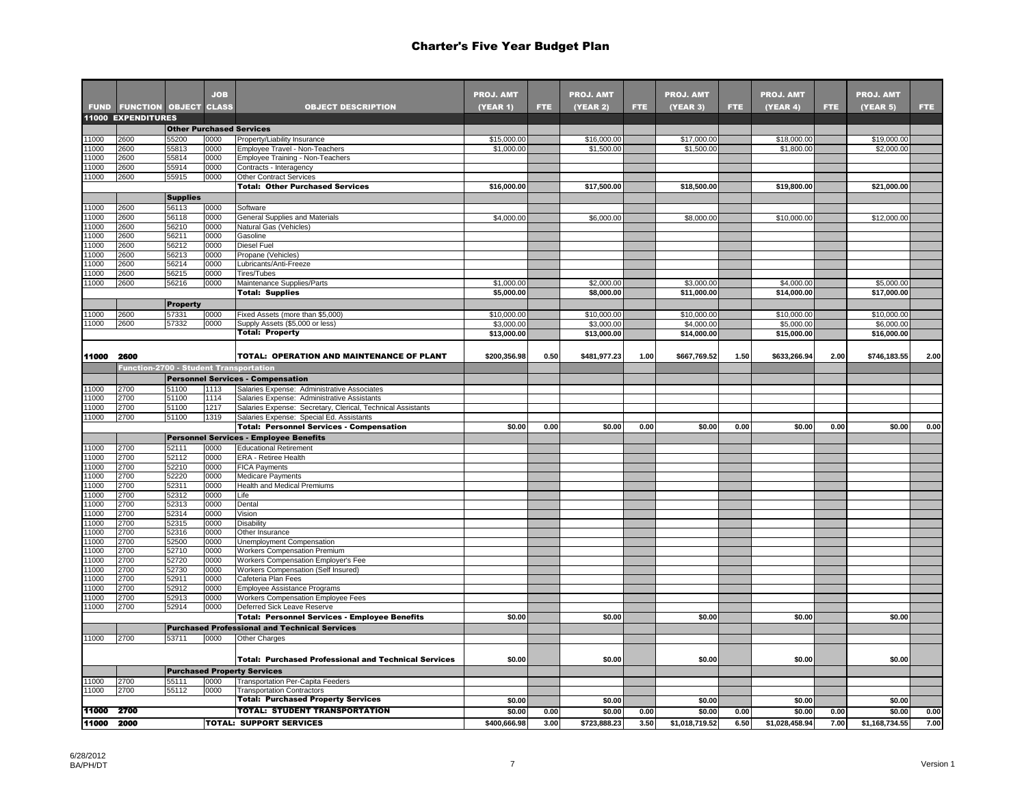|                |                                               |                 | <b>JOB</b>   |                                                                                                         | <b>PROJ. AMT</b>          |      | <b>PROJ. AMT</b>          |            | <b>PROJ. AMT</b>          |      | <b>PROJ. AMT</b>          |      | <b>PROJ. AMT</b>          |      |
|----------------|-----------------------------------------------|-----------------|--------------|---------------------------------------------------------------------------------------------------------|---------------------------|------|---------------------------|------------|---------------------------|------|---------------------------|------|---------------------------|------|
|                | <b>FUND FUNCTION OBJECT CLASS</b>             |                 |              | <b>OBJECT DESCRIPTION</b>                                                                               | <b>(YEAR 1)</b>           | FTE. | <b>(YEAR 2)</b>           | <b>FTE</b> | (YEAR 3)                  | FTE. | (YEAR 4)                  | FTE. | (YEAR 5)                  | FTE. |
|                | <b>11000 EXPENDITURES</b>                     |                 |              |                                                                                                         |                           |      |                           |            |                           |      |                           |      |                           |      |
|                |                                               |                 |              | <b>Other Purchased Services</b>                                                                         |                           |      |                           |            |                           |      |                           |      |                           |      |
| 11000<br>11000 | 2600<br>2600                                  | 55200<br>55813  | 0000<br>0000 | Property/Liability Insurance<br>Employee Travel - Non-Teachers                                          | \$15,000.00<br>\$1,000.00 |      | \$16,000.00<br>\$1,500.00 |            | \$17,000.00<br>\$1,500.00 |      | \$18,000.00<br>\$1,800.00 |      | \$19,000.00<br>\$2,000.00 |      |
| 11000          | 2600                                          | 55814           | 0000         | Employee Training - Non-Teachers                                                                        |                           |      |                           |            |                           |      |                           |      |                           |      |
| 11000          | 2600                                          | 55914           | 0000         | Contracts - Interagency                                                                                 |                           |      |                           |            |                           |      |                           |      |                           |      |
| 11000          | 2600                                          | 55915           | 0000         | <b>Other Contract Services</b>                                                                          |                           |      |                           |            |                           |      |                           |      |                           |      |
|                |                                               |                 |              | <b>Total: Other Purchased Services</b>                                                                  | \$16,000.00               |      | \$17,500.00               |            | \$18,500.00               |      | \$19,800.00               |      | \$21,000.00               |      |
| 1000           |                                               | <b>Supplies</b> |              |                                                                                                         |                           |      |                           |            |                           |      |                           |      |                           |      |
| 11000          | 2600<br>2600                                  | 56113<br>56118  | 0000<br>0000 | Software<br>General Supplies and Materials                                                              | \$4,000.00                |      | \$6,000.00                |            | \$8,000.00                |      | \$10,000.00               |      | \$12,000.00               |      |
| 11000          | 2600                                          | 56210           | 0000         | Natural Gas (Vehicles)                                                                                  |                           |      |                           |            |                           |      |                           |      |                           |      |
| 11000          | 2600                                          | 56211           | 0000         | Gasoline                                                                                                |                           |      |                           |            |                           |      |                           |      |                           |      |
| 11000          | 2600                                          | 56212           | 0000         | Diesel Fuel                                                                                             |                           |      |                           |            |                           |      |                           |      |                           |      |
| 11000<br>11000 | 2600<br>2600                                  | 56213<br>56214  | 0000<br>0000 | Propane (Vehicles)<br>Lubricants/Anti-Freeze                                                            |                           |      |                           |            |                           |      |                           |      |                           |      |
| 1000           | 2600                                          | 56215           | 0000         | Tires/Tubes                                                                                             |                           |      |                           |            |                           |      |                           |      |                           |      |
| 11000          | 2600                                          | 56216           | 0000         | Maintenance Supplies/Parts                                                                              | \$1,000.00                |      | \$2,000.00                |            | \$3,000.00                |      | \$4,000.00                |      | \$5,000.00                |      |
|                |                                               |                 |              | <b>Total: Supplies</b>                                                                                  | \$5,000.00                |      | \$8,000.00                |            | \$11,000.00               |      | \$14,000.00               |      | \$17,000.00               |      |
|                |                                               | <b>Property</b> |              |                                                                                                         |                           |      |                           |            |                           |      |                           |      |                           |      |
| 11000          | 2600                                          | 57331           | 0000         | Fixed Assets (more than \$5,000)                                                                        | \$10,000.00               |      | \$10,000.00               |            | \$10,000.00               |      | \$10,000.00               |      | \$10,000.00               |      |
| 11000          | 2600                                          | 57332           | 0000         | Supply Assets (\$5,000 or less)                                                                         | \$3,000.00                |      | \$3,000.00                |            | \$4,000.00                |      | \$5,000.00                |      | \$6,000.00                |      |
|                |                                               |                 |              | <b>Total: Property</b>                                                                                  | \$13,000.00               |      | \$13,000.00               |            | \$14,000.00               |      | \$15,000.00               |      | \$16,000.00               |      |
| 11000          | 2600                                          |                 |              | TOTAL: OPERATION AND MAINTENANCE OF PLANT                                                               | \$200,356.98              | 0.50 | \$481,977.23              | 1.00       | \$667,769.52              | 1.50 | \$633,266.94              | 2.00 | \$746,183.55              | 2.00 |
|                | <b>Function-2700 - Student Transportation</b> |                 |              |                                                                                                         |                           |      |                           |            |                           |      |                           |      |                           |      |
|                |                                               |                 |              | <b>Personnel Services - Compensation</b>                                                                |                           |      |                           |            |                           |      |                           |      |                           |      |
| 11000          | 2700                                          | 51100           | 1113         | Salaries Expense: Administrative Associates                                                             |                           |      |                           |            |                           |      |                           |      |                           |      |
| 11000          | 2700                                          | 51100           | 1114         | Salaries Expense: Administrative Assistants                                                             |                           |      |                           |            |                           |      |                           |      |                           |      |
| 1000<br>11000  | 2700<br>2700                                  | 51100<br>51100  | 1217<br>1319 | Salaries Expense: Secretary, Clerical, Technical Assistants<br>Salaries Expense: Special Ed. Assistants |                           |      |                           |            |                           |      |                           |      |                           |      |
|                |                                               |                 |              | <b>Total: Personnel Services - Compensation</b>                                                         | \$0.00                    | 0.00 | \$0.00                    | 0.00       | \$0.00                    | 0.00 | \$0.00                    | 0.00 | \$0.00                    | 0.00 |
|                |                                               |                 |              | <b>Personnel Services - Employee Benefits</b>                                                           |                           |      |                           |            |                           |      |                           |      |                           |      |
| 11000          | 2700                                          | 52111           | 0000         | <b>Educational Retirement</b>                                                                           |                           |      |                           |            |                           |      |                           |      |                           |      |
| 11000          | 2700                                          | 52112           | 0000         | ERA - Retiree Health                                                                                    |                           |      |                           |            |                           |      |                           |      |                           |      |
| 11000          | 2700                                          | 52210           | 0000         | <b>FICA Payments</b>                                                                                    |                           |      |                           |            |                           |      |                           |      |                           |      |
| 11000<br>11000 | 2700                                          | 52220<br>52311  | 0000<br>0000 | <b>Medicare Payments</b><br><b>Health and Medical Premiums</b>                                          |                           |      |                           |            |                           |      |                           |      |                           |      |
| 11000          | 2700<br>2700                                  | 52312           | 0000         | Life                                                                                                    |                           |      |                           |            |                           |      |                           |      |                           |      |
| 11000          | 2700                                          | 52313           | 0000         | Dental                                                                                                  |                           |      |                           |            |                           |      |                           |      |                           |      |
| 11000          | 2700                                          | 52314           | 0000         | Vision                                                                                                  |                           |      |                           |            |                           |      |                           |      |                           |      |
| 11000          | 2700                                          | 52315           | 0000         | <b>Disability</b>                                                                                       |                           |      |                           |            |                           |      |                           |      |                           |      |
| 11000          | 2700                                          | 52316           | 0000         | Other Insurance                                                                                         |                           |      |                           |            |                           |      |                           |      |                           |      |
| 11000<br>11000 | 2700<br>2700                                  | 52500<br>52710  | 0000<br>0000 | Unemployment Compensation<br>Workers Compensation Premium                                               |                           |      |                           |            |                           |      |                           |      |                           |      |
| 11000          | 2700                                          | 52720           | 0000         | Workers Compensation Employer's Fee                                                                     |                           |      |                           |            |                           |      |                           |      |                           |      |
| 11000          | 2700                                          | 52730           | 0000         | Workers Compensation (Self Insured)                                                                     |                           |      |                           |            |                           |      |                           |      |                           |      |
| 11000          | 2700                                          | 52911           | 0000         | Cafeteria Plan Fees                                                                                     |                           |      |                           |            |                           |      |                           |      |                           |      |
| 11000          | 2700                                          | 52912           | 0000         | Employee Assistance Programs                                                                            |                           |      |                           |            |                           |      |                           |      |                           |      |
| 11000<br>11000 | 2700<br>2700                                  | 52913<br>52914  | 0000<br>0000 | Workers Compensation Employee Fees<br>Deferred Sick Leave Reserve                                       |                           |      |                           |            |                           |      |                           |      |                           |      |
|                |                                               |                 |              | <b>Total: Personnel Services - Employee Benefits</b>                                                    | \$0.00                    |      | \$0.00                    |            | \$0.00                    |      | \$0.00                    |      | \$0.00                    |      |
|                |                                               |                 |              | <b>Purchased Professional and Technical Services</b>                                                    |                           |      |                           |            |                           |      |                           |      |                           |      |
| 11000          | 2700                                          | 53711           | 0000         | <b>Other Charges</b>                                                                                    |                           |      |                           |            |                           |      |                           |      |                           |      |
|                |                                               |                 |              |                                                                                                         |                           |      |                           |            |                           |      |                           |      |                           |      |
|                |                                               |                 |              | <b>Total: Purchased Professional and Technical Services</b>                                             | \$0.00                    |      | \$0.00                    |            | \$0.00                    |      | \$0.00                    |      | \$0.00                    |      |
|                |                                               |                 |              | <b>Purchased Property Services</b>                                                                      |                           |      |                           |            |                           |      |                           |      |                           |      |
| 11000<br>11000 | 2700<br>2700                                  | 55111<br>55112  | 0000<br>0000 | Transportation Per-Capita Feeders<br><b>Transportation Contractors</b>                                  |                           |      |                           |            |                           |      |                           |      |                           |      |
|                |                                               |                 |              | <b>Total: Purchased Property Services</b>                                                               | \$0.00                    |      | \$0.00                    |            | \$0.00                    |      | \$0.00                    |      | \$0.00                    |      |
| 11000          | - 2700                                        |                 |              | <b>TOTAL: STUDENT TRANSPORTATION</b>                                                                    | \$0.00                    | 0.00 | \$0.00                    | 0.00       | \$0.00                    | 0.00 | \$0.00                    | 0.00 | \$0.00                    | 0.00 |
| 11000          | 2000                                          |                 |              | <b>TOTAL: SUPPORT SERVICES</b>                                                                          | \$400,666.98              | 3.00 | \$723,888.23              | 3.50       | \$1,018,719.52            | 6.50 | \$1,028,458.94            | 7.00 | \$1,168,734.55            | 7.00 |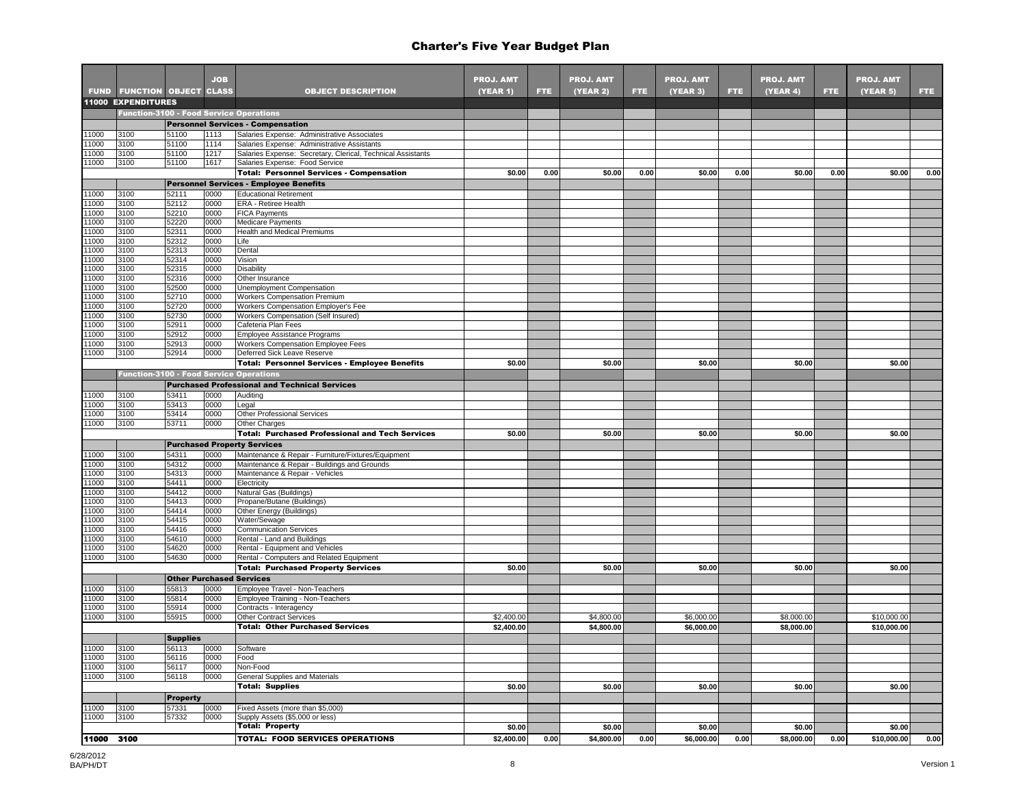|                |                                                |                                 | <b>JOB</b>   |                                                                                            | <b>PROJ. AMT</b> |      | <b>PROJ. AMT</b> |            | <b>PROJ. AMT</b> |      | <b>PROJ. AMT</b> |      | <b>PROJ. AMT</b> |      |
|----------------|------------------------------------------------|---------------------------------|--------------|--------------------------------------------------------------------------------------------|------------------|------|------------------|------------|------------------|------|------------------|------|------------------|------|
|                | <b>FUND FUNCTION OBJECT CLASS</b>              |                                 |              | <b>OBJECT DESCRIPTION</b>                                                                  | (YEAR 1)         | FTE. | (YEAR 2)         | <b>FTE</b> | (YEAR 3)         | FTE. | (YEAR 4)         | FTE. | (YEAR 5)         | FTE. |
|                | <b>11000 EXPENDITURES</b>                      |                                 |              |                                                                                            |                  |      |                  |            |                  |      |                  |      |                  |      |
|                |                                                |                                 |              | <b>Function-3100 - Food Service Operations</b>                                             |                  |      |                  |            |                  |      |                  |      |                  |      |
|                |                                                |                                 |              | <b>Personnel Services - Compensation</b>                                                   |                  |      |                  |            |                  |      |                  |      |                  |      |
| 11000<br>11000 | 3100<br>3100                                   | 51100<br>51100                  | 1113<br>1114 | Salaries Expense: Administrative Associates<br>Salaries Expense: Administrative Assistants |                  |      |                  |            |                  |      |                  |      |                  |      |
| 11000          | 3100                                           | 51100                           | 1217         | Salaries Expense: Secretary, Clerical, Technical Assistants                                |                  |      |                  |            |                  |      |                  |      |                  |      |
| 11000          | 3100                                           | 51100                           | 1617         | Salaries Expense: Food Service                                                             |                  |      |                  |            |                  |      |                  |      |                  |      |
|                |                                                |                                 |              | <b>Total: Personnel Services - Compensation</b>                                            | \$0.00           | 0.00 | \$0.00           | 0.00       | \$0.00           | 0.00 | \$0.00           | 0.00 | \$0.00           | 0.00 |
|                |                                                |                                 |              | <b>Personnel Services - Employee Benefits</b>                                              |                  |      |                  |            |                  |      |                  |      |                  |      |
| 11000          | 3100                                           | 52111                           | 0000         | <b>Educational Retirement</b>                                                              |                  |      |                  |            |                  |      |                  |      |                  |      |
| 11000<br>11000 | 3100<br>3100                                   | 52112<br>52210                  | 0000<br>0000 | ERA - Retiree Health                                                                       |                  |      |                  |            |                  |      |                  |      |                  |      |
| 11000          | 3100                                           | 52220                           | 0000         | <b>FICA Payments</b><br>Medicare Payments                                                  |                  |      |                  |            |                  |      |                  |      |                  |      |
| 11000          | 3100                                           | 52311                           | 0000         | Health and Medical Premiums                                                                |                  |      |                  |            |                  |      |                  |      |                  |      |
| 11000          | 3100                                           | 52312                           | 0000         | Life                                                                                       |                  |      |                  |            |                  |      |                  |      |                  |      |
| 11000          | 3100                                           | 52313                           | 0000         | Dental                                                                                     |                  |      |                  |            |                  |      |                  |      |                  |      |
| 11000          | 3100                                           | 52314                           | 0000         | Vision                                                                                     |                  |      |                  |            |                  |      |                  |      |                  |      |
| 11000          | 3100                                           | 52315                           | 0000         | Disability                                                                                 |                  |      |                  |            |                  |      |                  |      |                  |      |
| 11000<br>11000 | 3100<br>3100                                   | 52316<br>52500                  | 0000<br>0000 | Other Insurance<br>Unemployment Compensation                                               |                  |      |                  |            |                  |      |                  |      |                  |      |
| 11000          | 3100                                           | 52710                           | 0000         | <b>Workers Compensation Premium</b>                                                        |                  |      |                  |            |                  |      |                  |      |                  |      |
| 1000           | 3100                                           | 52720                           | 0000         | Workers Compensation Employer's Fee                                                        |                  |      |                  |            |                  |      |                  |      |                  |      |
| 11000          | 3100                                           | 52730                           | 0000         | <b>Workers Compensation (Self Insured)</b>                                                 |                  |      |                  |            |                  |      |                  |      |                  |      |
| 1000           | 3100                                           | 52911                           | 0000         | Cafeteria Plan Fees                                                                        |                  |      |                  |            |                  |      |                  |      |                  |      |
| 11000          | 3100                                           | 52912                           | 0000         | Employee Assistance Programs                                                               |                  |      |                  |            |                  |      |                  |      |                  |      |
| 11000          | 3100                                           | 52913                           | 0000         | Workers Compensation Employee Fees                                                         |                  |      |                  |            |                  |      |                  |      |                  |      |
| 11000          | 3100                                           | 52914                           | 0000         | Deferred Sick Leave Reserve                                                                |                  |      |                  |            |                  |      |                  |      |                  |      |
|                |                                                |                                 |              | Total: Personnel Services - Employee Benefits                                              | \$0.00           |      | \$0.00           |            | \$0.00           |      | \$0.00           |      | \$0.00           |      |
|                | <b>Function-3100 - Food Service Operations</b> |                                 |              |                                                                                            |                  |      |                  |            |                  |      |                  |      |                  |      |
|                |                                                |                                 |              | <b>Purchased Professional and Technical Services</b>                                       |                  |      |                  |            |                  |      |                  |      |                  |      |
| 11000<br>11000 | 3100<br>3100                                   | 53411<br>53413                  | 0000<br>0000 | Auditing<br>Legal                                                                          |                  |      |                  |            |                  |      |                  |      |                  |      |
| 11000          | 3100                                           | 53414                           | 0000         | Other Professional Services                                                                |                  |      |                  |            |                  |      |                  |      |                  |      |
| 11000          | 3100                                           | 53711                           | 0000         | <b>Other Charges</b>                                                                       |                  |      |                  |            |                  |      |                  |      |                  |      |
|                |                                                |                                 |              | <b>Total: Purchased Professional and Tech Services</b>                                     | \$0.00           |      | \$0.00           |            | \$0.00           |      | \$0.00           |      | \$0.00           |      |
|                |                                                |                                 |              | <b>Purchased Property Services</b>                                                         |                  |      |                  |            |                  |      |                  |      |                  |      |
| 11000          | 3100                                           | 54311                           | 0000         | Maintenance & Repair - Furniture/Fixtures/Equipment                                        |                  |      |                  |            |                  |      |                  |      |                  |      |
| 11000          | 3100                                           | 54312                           | 0000         | Maintenance & Repair - Buildings and Grounds                                               |                  |      |                  |            |                  |      |                  |      |                  |      |
| 11000          | 3100                                           | 54313                           | 0000         | Maintenance & Repair - Vehicles                                                            |                  |      |                  |            |                  |      |                  |      |                  |      |
| 11000          | 3100                                           | 54411                           | 0000         | Electricity                                                                                |                  |      |                  |            |                  |      |                  |      |                  |      |
| 11000<br>1000  | 3100<br>3100                                   | 54412<br>54413                  | 0000<br>0000 | Natural Gas (Buildings)<br>Propane/Butane (Buildings)                                      |                  |      |                  |            |                  |      |                  |      |                  |      |
| 11000          | 3100                                           | 54414                           | 0000         | Other Energy (Buildings)                                                                   |                  |      |                  |            |                  |      |                  |      |                  |      |
| 11000          | 3100                                           | 54415                           | 0000         | Water/Sewage                                                                               |                  |      |                  |            |                  |      |                  |      |                  |      |
| 11000          | 3100                                           | 54416                           | 0000         | <b>Communication Services</b>                                                              |                  |      |                  |            |                  |      |                  |      |                  |      |
| 11000          | 3100                                           | 54610                           | 0000         | Rental - Land and Buildings                                                                |                  |      |                  |            |                  |      |                  |      |                  |      |
| 11000          | 3100                                           | 54620                           | 0000         | Rental - Equipment and Vehicles                                                            |                  |      |                  |            |                  |      |                  |      |                  |      |
| 11000          | 3100                                           | 54630                           | 0000         | Rental - Computers and Related Equipment                                                   |                  |      |                  |            |                  |      |                  |      |                  |      |
|                |                                                |                                 |              | <b>Total: Purchased Property Services</b>                                                  | \$0.00           |      | \$0.00           |            | \$0.00           |      | \$0.00           |      | \$0.00           |      |
|                |                                                | <b>Other Purchased Services</b> |              |                                                                                            |                  |      |                  |            |                  |      |                  |      |                  |      |
| 11000          | 3100                                           | 55813                           | 0000         | Employee Travel - Non-Teachers                                                             |                  |      |                  |            |                  |      |                  |      |                  |      |
| 11000<br>1000  | 3100<br>3100                                   | 55814<br>55914                  | 0000<br>0000 | Employee Training - Non-Teachers                                                           |                  |      |                  |            |                  |      |                  |      |                  |      |
| 11000          | 3100                                           | 55915                           | 0000         | Contracts - Interagency<br>Other Contract Services                                         | \$2,400.00       |      | \$4,800.00       |            | \$6,000.00       |      | \$8,000.00       |      | \$10,000.00      |      |
|                |                                                |                                 |              | <b>Total: Other Purchased Services</b>                                                     | \$2,400.00       |      | \$4,800.00       |            | \$6,000.00       |      | \$8,000.00       |      | \$10,000.00      |      |
|                |                                                | <b>Supplies</b>                 |              |                                                                                            |                  |      |                  |            |                  |      |                  |      |                  |      |
| 11000          | 3100                                           | 56113                           | 0000         | Software                                                                                   |                  |      |                  |            |                  |      |                  |      |                  |      |
| 11000          | 3100                                           | 56116                           | 0000         | Food                                                                                       |                  |      |                  |            |                  |      |                  |      |                  |      |
| 11000          | 3100                                           | 56117                           | 0000         | Non-Food                                                                                   |                  |      |                  |            |                  |      |                  |      |                  |      |
| 11000          | 3100                                           | 56118                           | 0000         | General Supplies and Materials                                                             |                  |      |                  |            |                  |      |                  |      |                  |      |
|                |                                                |                                 |              | <b>Total: Supplies</b>                                                                     | \$0.00           |      | \$0.00           |            | \$0.00           |      | \$0.00           |      | \$0.00           |      |
|                |                                                | <b>Property</b>                 |              |                                                                                            |                  |      |                  |            |                  |      |                  |      |                  |      |
| 11000          | 3100                                           | 57331                           | 0000         | Fixed Assets (more than \$5,000)                                                           |                  |      |                  |            |                  |      |                  |      |                  |      |
| 11000          | 3100                                           | 57332                           | 0000         | Supply Assets (\$5,000 or less)                                                            |                  |      |                  |            |                  |      |                  |      |                  |      |
|                |                                                |                                 |              | <b>Total: Property</b>                                                                     | \$0.00           |      | \$0.00           |            | \$0.00           |      | \$0.00           |      | \$0.00           |      |
| 11000          | 3100                                           |                                 |              | <b>TOTAL: FOOD SERVICES OPERATIONS</b>                                                     | \$2,400.00       | 0.00 | \$4,800.00       | 0.00       | \$6,000.00       | 0.00 | \$8,000.00       | 0.00 | \$10,000.00      | 0.00 |